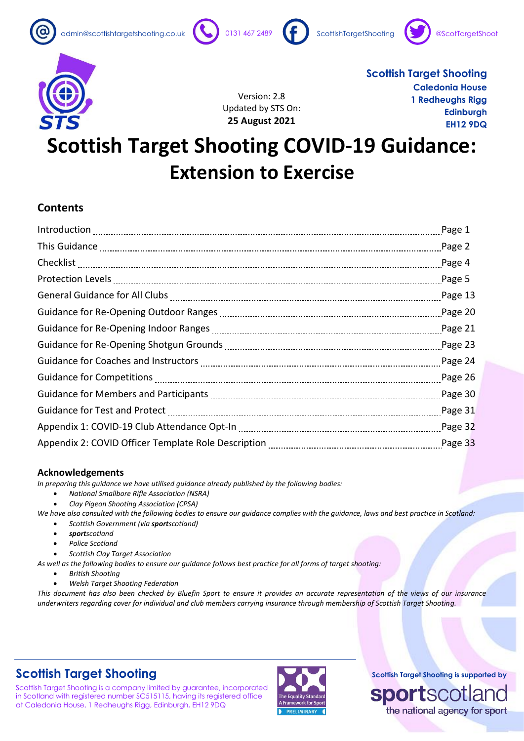











Version: 2.8 Updated by STS On: **25 August 2021**

**Scottish Target Shooting Caledonia House 1 Redheughs Rigg Edinburgh EH12 9DQ**

# **Scottish Target Shooting COVID-19 Guidance: Extension to Exercise**

### **Contents**

| Page 2    |
|-----------|
| Page 4    |
| Page 5    |
| Page 13   |
|           |
|           |
|           |
|           |
| Page $26$ |
| Page 30   |
| Page 31   |
| Page 32   |
| Page 33   |

### **Acknowledgements**

*In preparing this guidance we have utilised guidance already published by the following bodies:*

- *National Smallbore Rifle Association (NSRA)*
- *Clay Pigeon Shooting Association (CPSA)*

*We have also consulted with the following bodies to ensure our guidance complies with the guidance, laws and best practice in Scotland:* • *Scottish Government (via sportscotland)*

- *sportscotland*
- *Police Scotland*
- *Scottish Clay Target Association*

*As well as the following bodies to ensure our guidance follows best practice for all forms of target shooting:*

- *British Shooting*
- *Welsh Target Shooting Federation*

*This document has also been checked by Bluefin Sport to ensure it provides an accurate representation of the views of our insurance underwriters regarding cover for individual and club members carrying insurance through membership of Scottish Target Shooting.*

# **Scottish Target Shooting**

Scottish Target Shooting is a company limited by guarantee, incorporated in Scotland with registered number SC515115, having its registered office at Caledonia House, 1 Redheughs Rigg, Edinburgh, EH12 9DQ

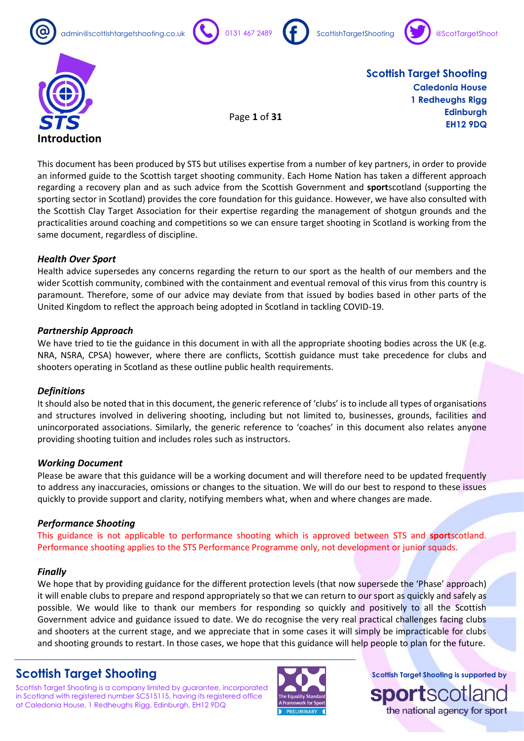









Page **1** of **31**

**Scottish Target Shooting Caledonia House 1 Redheughs Rigg Edinburgh EH12 9DQ**

This document has been produced by STS but utilises expertise from a number of key partners, in order to provide an informed guide to the Scottish target shooting community. Each Home Nation has taken a different approach regarding a recovery plan and as such advice from the Scottish Government and **sport**scotland (supporting the sporting sector in Scotland) provides the core foundation for this guidance. However, we have also consulted with the Scottish Clay Target Association for their expertise regarding the management of shotgun grounds and the practicalities around coaching and competitions so we can ensure target shooting in Scotland is working from the same document, regardless of discipline.

### *Health Over Sport*

Health advice supersedes any concerns regarding the return to our sport as the health of our members and the wider Scottish community, combined with the containment and eventual removal of this virus from this country is paramount. Therefore, some of our advice may deviate from that issued by bodies based in other parts of the United Kingdom to reflect the approach being adopted in Scotland in tackling COVID-19.

#### *Partnership Approach*

We have tried to tie the guidance in this document in with all the appropriate shooting bodies across the UK (e.g. NRA, NSRA, CPSA) however, where there are conflicts, Scottish guidance must take precedence for clubs and shooters operating in Scotland as these outline public health requirements.

#### *Definitions*

It should also be noted that in this document, the generic reference of 'clubs' is to include all types of organisations and structures involved in delivering shooting, including but not limited to, businesses, grounds, facilities and unincorporated associations. Similarly, the generic reference to 'coaches' in this document also relates anyone providing shooting tuition and includes roles such as instructors.

#### *Working Document*

Please be aware that this guidance will be a working document and will therefore need to be updated frequently to address any inaccuracies, omissions or changes to the situation. We will do our best to respond to these issues quickly to provide support and clarity, notifying members what, when and where changes are made.

### *Performance Shooting*

This guidance is not applicable to performance shooting which is approved between STS and **sport**scotland. Performance shooting applies to the STS Performance Programme only, not development or junior squads.

#### *Finally*

We hope that by providing guidance for the different protection levels (that now supersede the 'Phase' approach) it will enable clubs to prepare and respond appropriately so that we can return to our sport as quickly and safely as possible. We would like to thank our members for responding so quickly and positively to all the Scottish Government advice and guidance issued to date. We do recognise the very real practical challenges facing clubs and shooters at the current stage, and we appreciate that in some cases it will simply be impracticable for clubs and shooting grounds to restart. In those cases, we hope that this guidance will help people to plan for the future.

### **Scottish Target Shooting**

Scottish Target Shooting is a company limited by guarantee, incorporated in Scotland with registered number SC515115, having its registered office at Caledonia House, 1 Redheughs Rigg, Edinburgh, EH12 9DQ

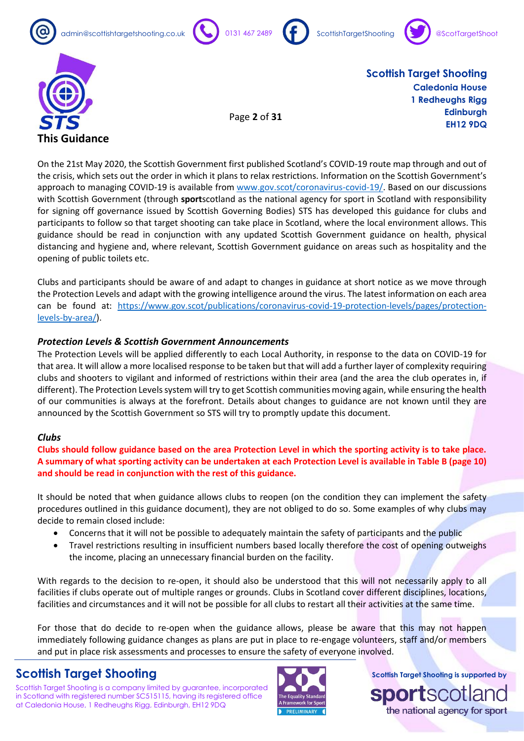



Page **2** of **31**







**Scottish Target Shooting Caledonia House 1 Redheughs Rigg Edinburgh EH12 9DQ**

On the 21st May 2020, the Scottish Government first published Scotland's COVID-19 route map through and out of the crisis, which sets out the order in which it plans to relax restrictions. Information on the Scottish Government's approach to managing COVID-19 is available from [www.gov.scot/coronavirus-covid-19/.](http://www.gov.scot/coronavirus-covid-19/) Based on our discussions with Scottish Government (through **sport**scotland as the national agency for sport in Scotland with responsibility for signing off governance issued by Scottish Governing Bodies) STS has developed this guidance for clubs and participants to follow so that target shooting can take place in Scotland, where the local environment allows. This guidance should be read in conjunction with any updated Scottish Government guidance on health, physical distancing and hygiene and, where relevant, Scottish Government guidance on areas such as hospitality and the opening of public toilets etc.

Clubs and participants should be aware of and adapt to changes in guidance at short notice as we move through the Protection Levels and adapt with the growing intelligence around the virus. The latest information on each area can be found at: [https://www.gov.scot/publications/coronavirus-covid-19-protection-levels/pages/protection](https://www.gov.scot/publications/coronavirus-covid-19-protection-levels/pages/protection-levels-by-area/)[levels-by-area/\)](https://www.gov.scot/publications/coronavirus-covid-19-protection-levels/pages/protection-levels-by-area/).

### *Protection Levels & Scottish Government Announcements*

The Protection Levels will be applied differently to each Local Authority, in response to the data on COVID-19 for that area. It will allow a more localised response to be taken but that will add a further layer of complexity requiring clubs and shooters to vigilant and informed of restrictions within their area (and the area the club operates in, if different). The Protection Levels system will try to get Scottish communities moving again, while ensuring the health of our communities is always at the forefront. Details about changes to guidance are not known until they are announced by the Scottish Government so STS will try to promptly update this document.

### *Clubs*

**Clubs should follow guidance based on the area Protection Level in which the sporting activity is to take place. A summary of what sporting activity can be undertaken at each Protection Level is available in Table B (page 10) and should be read in conjunction with the rest of this guidance.**

It should be noted that when guidance allows clubs to reopen (on the condition they can implement the safety procedures outlined in this guidance document), they are not obliged to do so. Some examples of why clubs may decide to remain closed include:

- Concerns that it will not be possible to adequately maintain the safety of participants and the public
- Travel restrictions resulting in insufficient numbers based locally therefore the cost of opening outweighs the income, placing an unnecessary financial burden on the facility.

With regards to the decision to re-open, it should also be understood that this will not necessarily apply to all facilities if clubs operate out of multiple ranges or grounds. Clubs in Scotland cover different disciplines, locations, facilities and circumstances and it will not be possible for all clubs to restart all their activities at the same time.

For those that do decide to re-open when the guidance allows, please be aware that this may not happen immediately following guidance changes as plans are put in place to re-engage volunteers, staff and/or members and put in place risk assessments and processes to ensure the safety of everyone involved.

### **Scottish Target Shooting**

Scottish Target Shooting is a company limited by guarantee, incorporated in Scotland with registered number SC515115, having its registered office at Caledonia House, 1 Redheughs Rigg, Edinburgh, EH12 9DQ



**Scottish Target Shooting is supported by**

the national agency for sport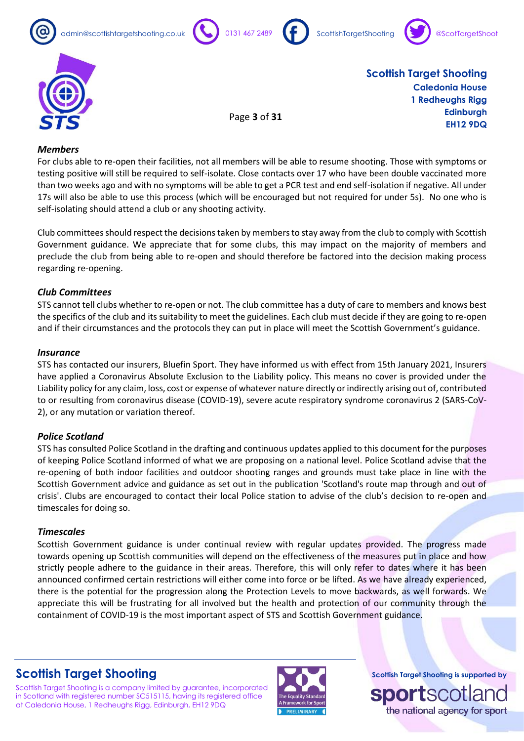









Page **3** of **31**

**Scottish Target Shooting Caledonia House 1 Redheughs Rigg Edinburgh EH12 9DQ**

#### *Members*

For clubs able to re-open their facilities, not all members will be able to resume shooting. Those with symptoms or testing positive will still be required to self-isolate. Close contacts over 17 who have been double vaccinated more than two weeks ago and with no symptoms will be able to get a PCR test and end self-isolation if negative. All under 17s will also be able to use this process (which will be encouraged but not required for under 5s). No one who is self-isolating should attend a club or any shooting activity.

Club committeesshould respect the decisions taken by members to stay away from the club to comply with Scottish Government guidance. We appreciate that for some clubs, this may impact on the majority of members and preclude the club from being able to re-open and should therefore be factored into the decision making process regarding re-opening.

### *Club Committees*

STS cannot tell clubs whether to re-open or not. The club committee has a duty of care to members and knows best the specifics of the club and its suitability to meet the guidelines. Each club must decide if they are going to re-open and if their circumstances and the protocols they can put in place will meet the Scottish Government's guidance.

#### *Insurance*

STS has contacted our insurers, Bluefin Sport. They have informed us with effect from 15th January 2021, Insurers have applied a Coronavirus Absolute Exclusion to the Liability policy. This means no cover is provided under the Liability policy for any claim, loss, cost or expense of whatever nature directly or indirectly arising out of, contributed to or resulting from coronavirus disease (COVID-19), severe acute respiratory syndrome coronavirus 2 (SARS-CoV-2), or any mutation or variation thereof.

### *Police Scotland*

STS has consulted Police Scotland in the drafting and continuous updates applied to this document for the purposes of keeping Police Scotland informed of what we are proposing on a national level. Police Scotland advise that the re-opening of both indoor facilities and outdoor shooting ranges and grounds must take place in line with the Scottish Government advice and guidance as set out in the publication 'Scotland's route map through and out of crisis'. Clubs are encouraged to contact their local Police station to advise of the club's decision to re-open and timescales for doing so.

### *Timescales*

Scottish Government guidance is under continual review with regular updates provided. The progress made towards opening up Scottish communities will depend on the effectiveness of the measures put in place and how strictly people adhere to the guidance in their areas. Therefore, this will only refer to dates where it has been announced confirmed certain restrictions will either come into force or be lifted. As we have already experienced, there is the potential for the progression along the Protection Levels to move backwards, as well forwards. We appreciate this will be frustrating for all involved but the health and protection of our community through the containment of COVID-19 is the most important aspect of STS and Scottish Government guidance.

### **Scottish Target Shooting**

Scottish Target Shooting is a company limited by guarantee, incorporated in Scotland with registered number SC515115, having its registered office at Caledonia House, 1 Redheughs Rigg, Edinburgh, EH12 9DQ



**Scottish Target Shooting is supported by**

the national agency for sport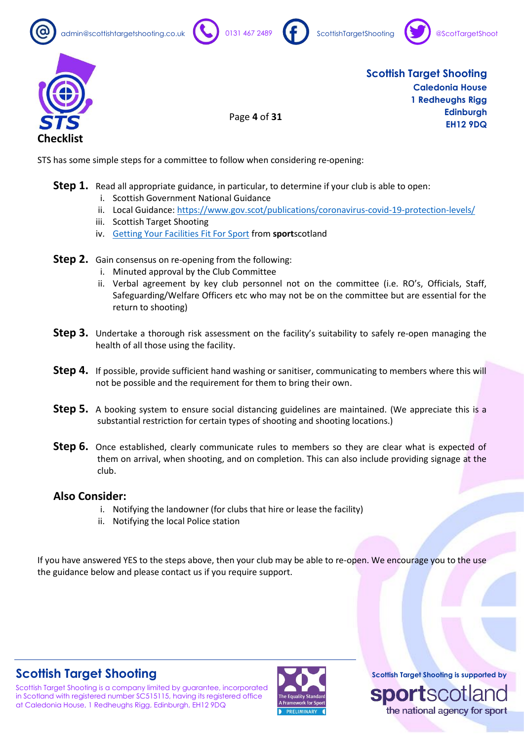









Page **4** of **31**

**Scottish Target Shooting Caledonia House 1 Redheughs Rigg Edinburgh EH12 9DQ**

STS has some simple steps for a committee to follow when considering re-opening:

- Step 1. Read all appropriate guidance, in particular, to determine if your club is able to open:
	- i. Scottish Government National Guidance
	- ii. Local Guidance:<https://www.gov.scot/publications/coronavirus-covid-19-protection-levels/>
	- iii. Scottish Target Shooting
	- iv. [Getting Your Facilities Fit For Sport](https://sportscotland.org.uk/covid-19/getting-your-facilities-fit-for-sport/) from **sport**scotland
- **Step 2.** Gain consensus on re-opening from the following:
	- i. Minuted approval by the Club Committee
	- ii. Verbal agreement by key club personnel not on the committee (i.e. RO's, Officials, Staff, Safeguarding/Welfare Officers etc who may not be on the committee but are essential for the return to shooting)
- **Step 3.** Undertake a thorough risk assessment on the facility's suitability to safely re-open managing the health of all those using the facility.
- **Step 4.** If possible, provide sufficient hand washing or sanitiser, communicating to members where this will not be possible and the requirement for them to bring their own.
- **Step 5.** A booking system to ensure social distancing guidelines are maintained. (We appreciate this is a substantial restriction for certain types of shooting and shooting locations.)
- **Step 6.** Once established, clearly communicate rules to members so they are clear what is expected of them on arrival, when shooting, and on completion. This can also include providing signage at the club.

### **Also Consider:**

- i. Notifying the landowner (for clubs that hire or lease the facility)
- ii. Notifying the local Police station

If you have answered YES to the steps above, then your club may be able to re-open. We encourage you to the use the guidance below and please contact us if you require support.

# **Scottish Target Shooting**

Scottish Target Shooting is a company limited by guarantee, incorporated in Scotland with registered number SC515115, having its registered office at Caledonia House, 1 Redheughs Rigg, Edinburgh, EH12 9DQ

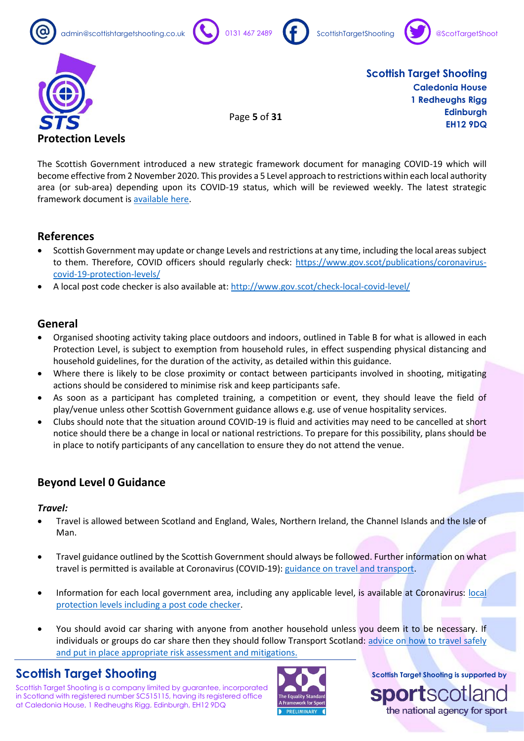









Page **5** of **31**

**Scottish Target Shooting Caledonia House 1 Redheughs Rigg Edinburgh EH12 9DQ**

The Scottish Government introduced a new strategic framework document for managing COVID-19 which will become effective from 2 November 2020. This provides a 5 Level approach to restrictions within each local authority area (or sub-area) depending upon its COVID-19 status, which will be reviewed weekly. The latest strategic framework document is [available here.](https://www.gov.scot/binaries/content/documents/govscot/publications/advice-and-guidance/2020/10/coronavirus-covid-19-protection-levels/documents/covid-19-protection-levels-summary-information-on-what-you-can-and-cannot-do/covid-19-protection-levels-summary-information-on-what-you-can-and-cannot-do/govscot%3Adocument/COVID-19%2Bprotection%2Blevels%2B-%2Bsummary%2Binformation%2Bon%2Bwhat%2Byou%2Bcan%2Band%2Bcannot%2Bdo%2B---.pdf)

### **References**

- Scottish Government may update or change Levels and restrictions at any time, including the local areas subject to them. Therefore, COVID officers should regularly check: [https://www.gov.scot/publications/coronavirus](https://www.gov.scot/publications/coronavirus-covid-19-protection-levels/)[covid-19-protection-levels/](https://www.gov.scot/publications/coronavirus-covid-19-protection-levels/)
- A local post code checker is also available at:<http://www.gov.scot/check-local-covid-level/>

### **General**

- Organised shooting activity taking place outdoors and indoors, outlined in Table B for what is allowed in each Protection Level, is subject to exemption from household rules, in effect suspending physical distancing and household guidelines, for the duration of the activity, as detailed within this guidance.
- Where there is likely to be close proximity or contact between participants involved in shooting, mitigating actions should be considered to minimise risk and keep participants safe.
- As soon as a participant has completed training, a competition or event, they should leave the field of play/venue unless other Scottish Government guidance allows e.g. use of venue hospitality services.
- Clubs should note that the situation around COVID-19 is fluid and activities may need to be cancelled at short notice should there be a change in local or national restrictions. To prepare for this possibility, plans should be in place to notify participants of any cancellation to ensure they do not attend the venue.

### **Beyond Level 0 Guidance**

#### *Travel:*

- Travel is allowed between Scotland and England, Wales, Northern Ireland, the Channel Islands and the Isle of Man.
- Travel guidance outlined by the Scottish Government should always be followed. Further information on what travel is permitted is available at Coronavirus (COVID-19)[: guidance on travel and transport.](https://www.gov.scot/publications/coronavirus-covid-19-guidance-on-travel-and-transport/)
- Information for each [local](https://www.webarchive.org.uk/wayback/archive/*?url=www.gov.scot/publications/coronavirus-covid-19-protection-levels) government area, including any applicable level, is available at Coronavirus: local [protection levels including a post code checker.](https://www.webarchive.org.uk/wayback/archive/*?url=www.gov.scot/publications/coronavirus-covid-19-protection-levels)
- You should avoid car sharing with anyone from another household unless you deem it to be necessary. If individuals or groups do car share then they should follow Transport Scotland: advice on how to travel safely [and put in place appropriate risk assessment and mitigations.](https://www.transport.gov.scot/coronavirus-covid-19/advice-on-how-to-travel-safely/#section-63888)

### **Scottish Target Shooting**

Scottish Target Shooting is a company limited by guarantee, incorporated in Scotland with registered number SC515115, having its registered office at Caledonia House, 1 Redheughs Rigg, Edinburgh, EH12 9DQ



**Scottish Target Shooting is supported by**

the national agency for sport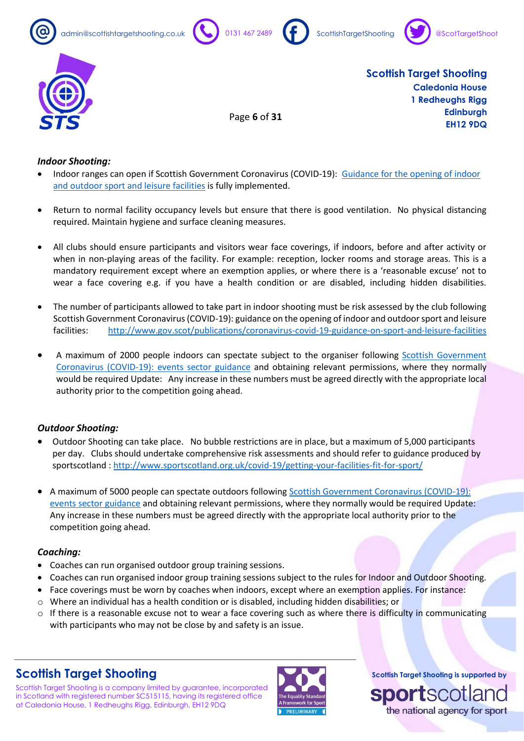









Page **6** of **31**

**Scottish Target Shooting Caledonia House 1 Redheughs Rigg Edinburgh EH12 9DQ**

### *Indoor Shooting:*

- Indoor ranges can open if Scottish Government Coronavirus (COVID-19): [Guidance for the opening of indoor](http://www.gov.scot/publications/coronavirus-covid-19-guidance-on-sport-and-leisure-facilities)  [and outdoor sport and leisure facilities](http://www.gov.scot/publications/coronavirus-covid-19-guidance-on-sport-and-leisure-facilities) is fully implemented.
- Return to normal facility occupancy levels but ensure that there is good ventilation. No physical distancing required. Maintain hygiene and surface cleaning measures.
- All clubs should ensure participants and visitors wear face coverings, if indoors, before and after activity or when in non-playing areas of the facility. For example: reception, locker rooms and storage areas. This is a mandatory requirement except where an exemption applies, or where there is a 'reasonable excuse' not to wear a face covering e.g. if you have a health condition or are disabled, including hidden disabilities.
- The number of participants allowed to take part in indoor shooting must be risk assessed by the club following Scottish Government Coronavirus (COVID-19): guidance on the opening of indoor and outdoor sport and leisure facilities: <http://www.gov.scot/publications/coronavirus-covid-19-guidance-on-sport-and-leisure-facilities>
- A maximum of 2000 people indoors can spectate subject to the organiser following [Scottish Government](https://www.webarchive.org.uk/wayback/archive/*?url=www.gov.scot/publications/coronavirus-covid-19-events-sector-guidance)  [Coronavirus \(COVID-19\): events sector guidance](https://www.webarchive.org.uk/wayback/archive/*?url=www.gov.scot/publications/coronavirus-covid-19-events-sector-guidance) and obtaining relevant permissions, where they normally would be required Update: Any increase in these numbers must be agreed directly with the appropriate local authority prior to the competition going ahead.

### *Outdoor Shooting:*

- Outdoor Shooting can take place. No bubble restrictions are in place, but a maximum of 5,000 participants per day. Clubs should undertake comprehensive risk assessments and should refer to guidance produced by sportscotland [: http://www.sportscotland.org.uk/covid-19/getting-your-facilities-fit-for-sport/](http://www.sportscotland.org.uk/covid-19/getting-your-facilities-fit-for-sport/)
- A maximum of 5000 people can spectate outdoors followin[g Scottish Government Coronavirus \(COVID-19\):](https://www.webarchive.org.uk/wayback/archive/*?url=www.gov.scot/publications/coronavirus-covid-19-events-sector-guidance)  [events sector guidance](https://www.webarchive.org.uk/wayback/archive/*?url=www.gov.scot/publications/coronavirus-covid-19-events-sector-guidance) and obtaining relevant permissions, where they normally would be required Update: Any increase in these numbers must be agreed directly with the appropriate local authority prior to the competition going ahead.

### *Coaching:*

- Coaches can run organised outdoor group training sessions.
- Coaches can run organised indoor group training sessions subject to the rules for Indoor and Outdoor Shooting.
- Face coverings must be worn by coaches when indoors, except where an exemption applies. For instance:
- $\circ$  Where an individual has a health condition or is disabled, including hidden disabilities; or
- $\circ$  If there is a reasonable excuse not to wear a face covering such as where there is difficulty in communicating with participants who may not be close by and safety is an issue.

# **Scottish Target Shooting**

Scottish Target Shooting is a company limited by guarantee, incorporated in Scotland with registered number SC515115, having its registered office at Caledonia House, 1 Redheughs Rigg, Edinburgh, EH12 9DQ

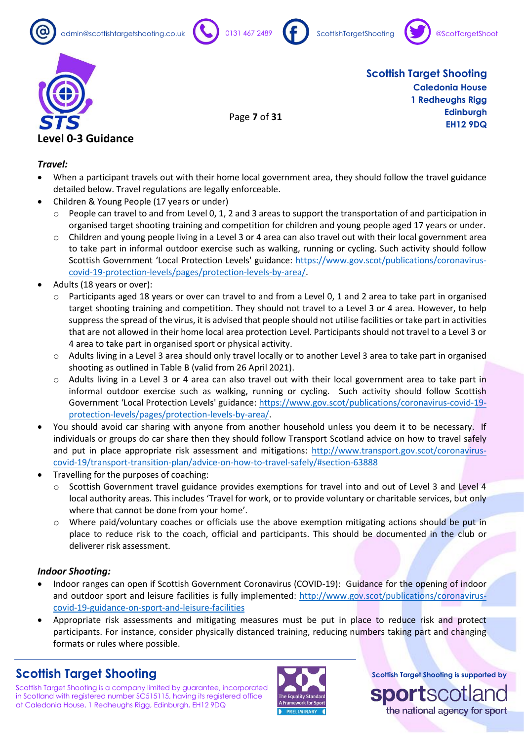









Page **7** of **31**

**Scottish Target Shooting Caledonia House 1 Redheughs Rigg Edinburgh EH12 9DQ**

### *Travel:*

- When a participant travels out with their home local government area, they should follow the travel guidance detailed below. Travel regulations are legally enforceable.
- Children & Young People (17 years or under)
	- $\circ$  People can travel to and from Level 0, 1, 2 and 3 areas to support the transportation of and participation in organised target shooting training and competition for children and young people aged 17 years or under.
	- $\circ$  Children and young people living in a Level 3 or 4 area can also travel out with their local government area to take part in informal outdoor exercise such as walking, running or cycling. Such activity should follow Scottish Government 'Local Protection Levels' guidance: [https://www.gov.scot/publications/coronavirus](https://www.gov.scot/publications/coronavirus-covid-19-protection-levels/pages/protection-levels-by-area/)[covid-19-protection-levels/pages/protection-levels-by-area/.](https://www.gov.scot/publications/coronavirus-covid-19-protection-levels/pages/protection-levels-by-area/)
- Adults (18 years or over):
	- $\circ$  Participants aged 18 years or over can travel to and from a Level 0, 1 and 2 area to take part in organised target shooting training and competition. They should not travel to a Level 3 or 4 area. However, to help suppress the spread of the virus, it is advised that people should not utilise facilities or take part in activities that are not allowed in their home local area protection Level. Participants should not travel to a Level 3 or 4 area to take part in organised sport or physical activity.
	- o Adults living in a Level 3 area should only travel locally or to another Level 3 area to take part in organised shooting as outlined in Table B (valid from 26 April 2021).
	- o Adults living in a Level 3 or 4 area can also travel out with their local government area to take part in informal outdoor exercise such as walking, running or cycling. Such activity should follow Scottish Government 'Local Protection Levels' guidance: [https://www.gov.scot/publications/coronavirus-covid-19](https://www.gov.scot/publications/coronavirus-covid-19-protection-levels/pages/protection-levels-by-area/) [protection-levels/pages/protection-levels-by-area/.](https://www.gov.scot/publications/coronavirus-covid-19-protection-levels/pages/protection-levels-by-area/)
- You should avoid car sharing with anyone from another household unless you deem it to be necessary. If individuals or groups do car share then they should follow Transport Scotland advice on how to travel safely and put in place appropriate risk assessment and mitigations: [http://www.transport.gov.scot/coronavirus](http://www.transport.gov.scot/coronavirus-covid-19/transport-transition-plan/advice-on-how-to-travel-safely/#section-63888)[covid-19/transport-transition-plan/advice-on-how-to-travel-safely/#section-63888](http://www.transport.gov.scot/coronavirus-covid-19/transport-transition-plan/advice-on-how-to-travel-safely/#section-63888)
- Travelling for the purposes of coaching:
	- o Scottish Government travel guidance provides exemptions for travel into and out of Level 3 and Level 4 local authority areas. This includes 'Travel for work, or to provide voluntary or charitable services, but only where that cannot be done from your home'.
	- o Where paid/voluntary coaches or officials use the above exemption mitigating actions should be put in place to reduce risk to the coach, official and participants. This should be documented in the club or deliverer risk assessment.

### *Indoor Shooting:*

- Indoor ranges can open if Scottish Government Coronavirus (COVID-19): Guidance for the opening of indoor and outdoor sport and leisure facilities is fully implemented: [http://www.gov.scot/publications/coronavirus](http://www.gov.scot/publications/coronavirus-covid-19-guidance-on-sport-and-leisure-facilities)[covid-19-guidance-on-sport-and-leisure-facilities](http://www.gov.scot/publications/coronavirus-covid-19-guidance-on-sport-and-leisure-facilities)
- Appropriate risk assessments and mitigating measures must be put in place to reduce risk and protect participants. For instance, consider physically distanced training, reducing numbers taking part and changing formats or rules where possible.

# **Scottish Target Shooting**

Scottish Target Shooting is a company limited by guarantee, incorporated in Scotland with registered number SC515115, having its registered office at Caledonia House, 1 Redheughs Rigg, Edinburgh, EH12 9DQ



**Scottish Target Shooting is supported by**

the national agency for sport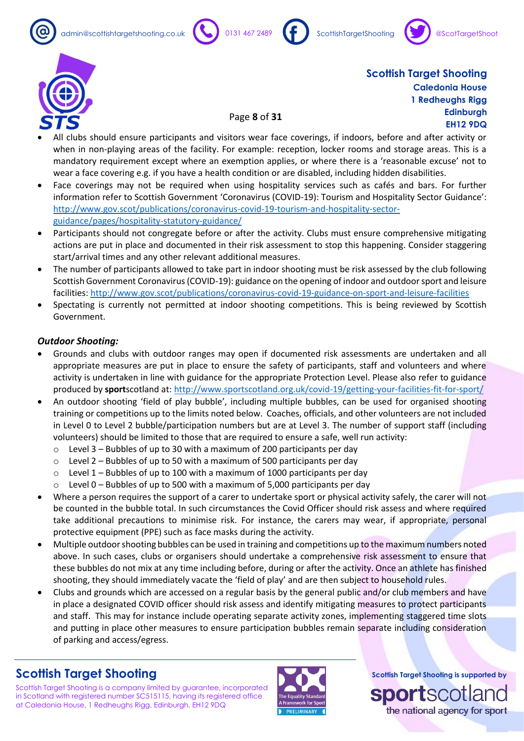







• All clubs should ensure participants and visitors wear face coverings, if indoors, before and after activity or when in non-playing areas of the facility. For example: reception, locker rooms and storage areas. This is a mandatory requirement except where an exemption applies, or where there is a 'reasonable excuse' not to wear a face covering e.g. if you have a health condition or are disabled, including hidden disabilities.

Page **8** of **31**

- Face coverings may not be required when using hospitality services such as cafés and bars. For further information refer to Scottish Government 'Coronavirus (COVID-19): Tourism and Hospitality Sector Guidance': [http://www.gov.scot/publications/coronavirus-covid-19-tourism-and-hospitality-sector](http://www.gov.scot/publications/coronavirus-covid-19-tourism-and-hospitality-sector-guidance/pages/hospitality-statutory-guidance/)[guidance/pages/hospitality-statutory-guidance/](http://www.gov.scot/publications/coronavirus-covid-19-tourism-and-hospitality-sector-guidance/pages/hospitality-statutory-guidance/)
- Participants should not congregate before or after the activity. Clubs must ensure comprehensive mitigating actions are put in place and documented in their risk assessment to stop this happening. Consider staggering start/arrival times and any other relevant additional measures.
- The number of participants allowed to take part in indoor shooting must be risk assessed by the club following Scottish Government Coronavirus (COVID-19): guidance on the opening of indoor and outdoor sport and leisure facilities[: http://www.gov.scot/publications/coronavirus-covid-19-guidance-on-sport-and-leisure-facilities](http://www.gov.scot/publications/coronavirus-covid-19-guidance-on-sport-and-leisure-facilities)
- Spectating is currently not permitted at indoor shooting competitions. This is being reviewed by Scottish Government.

### *Outdoor Shooting:*

- Grounds and clubs with outdoor ranges may open if documented risk assessments are undertaken and all appropriate measures are put in place to ensure the safety of participants, staff and volunteers and where activity is undertaken in line with guidance for the appropriate Protection Level. Please also refer to guidance produced by **sport**scotland at[: http://www.sportscotland.org.uk/covid-19/getting-your-facilities-fit-for-sport/](http://www.sportscotland.org.uk/covid-19/getting-your-facilities-fit-for-sport/)
- An outdoor shooting 'field of play bubble', including multiple bubbles, can be used for organised shooting training or competitions up to the limits noted below. Coaches, officials, and other volunteers are not included in Level 0 to Level 2 bubble/participation numbers but are at Level 3. The number of support staff (including volunteers) should be limited to those that are required to ensure a safe, well run activity:
	- $\circ$  Level 3 Bubbles of up to 30 with a maximum of 200 participants per day
	- $\circ$  Level 2 Bubbles of up to 50 with a maximum of 500 participants per day
	- $\circ$  Level 1 Bubbles of up to 100 with a maximum of 1000 participants per day
	- $\circ$  Level 0 Bubbles of up to 500 with a maximum of 5,000 participants per day
- Where a person requires the support of a carer to undertake sport or physical activity safely, the carer will not be counted in the bubble total. In such circumstances the Covid Officer should risk assess and where required take additional precautions to minimise risk. For instance, the carers may wear, if appropriate, personal protective equipment (PPE) such as face masks during the activity.
- Multiple outdoor shooting bubbles can be used in training and competitions up to the maximum numbers noted above. In such cases, clubs or organisers should undertake a comprehensive risk assessment to ensure that these bubbles do not mix at any time including before, during or after the activity. Once an athlete has finished shooting, they should immediately vacate the 'field of play' and are then subject to household rules.
- Clubs and grounds which are accessed on a regular basis by the general public and/or club members and have in place a designated COVID officer should risk assess and identify mitigating measures to protect participants and staff. This may for instance include operating separate activity zones, implementing staggered time slots and putting in place other measures to ensure participation bubbles remain separate including consideration of parking and access/egress.

# **Scottish Target Shooting**

Scottish Target Shooting is a company limited by guarantee, incorporated in Scotland with registered number SC515115, having its registered office at Caledonia House, 1 Redheughs Rigg, Edinburgh, EH12 9DQ



**Scottish Target Shooting is supported by**

the national agency for sport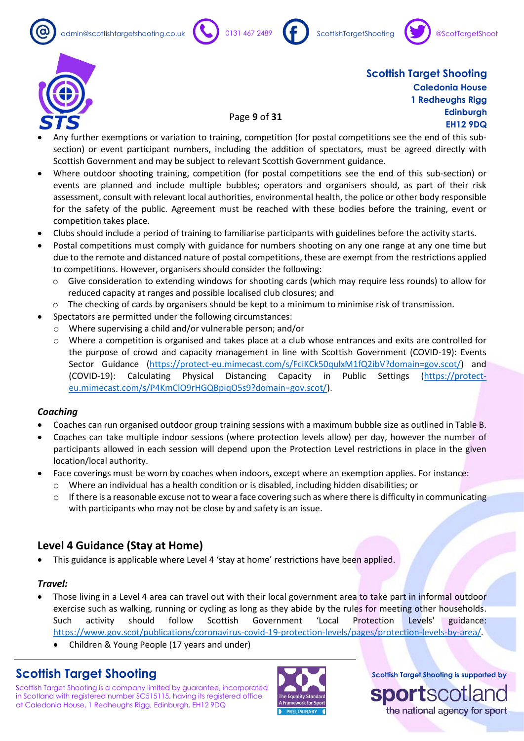







• Any further exemptions or variation to training, competition (for postal competitions see the end of this subsection) or event participant numbers, including the addition of spectators, must be agreed directly with Scottish Government and may be subject to relevant Scottish Government guidance.

Page **9** of **31**

- Where outdoor shooting training, competition (for postal competitions see the end of this sub-section) or events are planned and include multiple bubbles; operators and organisers should, as part of their risk assessment, consult with relevant local authorities, environmental health, the police or other body responsible for the safety of the public. Agreement must be reached with these bodies before the training, event or competition takes place.
- Clubs should include a period of training to familiarise participants with guidelines before the activity starts.
- Postal competitions must comply with guidance for numbers shooting on any one range at any one time but due to the remote and distanced nature of postal competitions, these are exempt from the restrictions applied to competitions. However, organisers should consider the following:
	- o Give consideration to extending windows for shooting cards (which may require less rounds) to allow for reduced capacity at ranges and possible localised club closures; and
	- $\circ$  The checking of cards by organisers should be kept to a minimum to minimise risk of transmission.
- Spectators are permitted under the following circumstances:
	- o Where supervising a child and/or vulnerable person; and/or
	- o Where a competition is organised and takes place at a club whose entrances and exits are controlled for the purpose of crowd and capacity management in line with Scottish Government (COVID-19): Events Sector Guidance [\(https://protect-eu.mimecast.com/s/FciKCk50qulxM1fQ2ibV?domain=gov.scot/\)](https://protect-eu.mimecast.com/s/FciKCk50qulxM1fQ2ibV?domain=gov.scot/) and (COVID-19): Calculating Physical Distancing Capacity in Public Settings [\(https://protect](https://protect-eu.mimecast.com/s/P4KmClO9rHGQBpiqO5s9?domain=gov.scot/)[eu.mimecast.com/s/P4KmClO9rHGQBpiqO5s9?domain=gov.scot/\)](https://protect-eu.mimecast.com/s/P4KmClO9rHGQBpiqO5s9?domain=gov.scot/).

### *Coaching*

- Coaches can run organised outdoor group training sessions with a maximum bubble size as outlined in Table B.
- Coaches can take multiple indoor sessions (where protection levels allow) per day, however the number of participants allowed in each session will depend upon the Protection Level restrictions in place in the given location/local authority.
- Face coverings must be worn by coaches when indoors, except where an exemption applies. For instance:
	- o Where an individual has a health condition or is disabled, including hidden disabilities; or
	- $\circ$  If there is a reasonable excuse not to wear a face covering such as where there is difficulty in communicating with participants who may not be close by and safety is an issue.

### **Level 4 Guidance (Stay at Home)**

• This guidance is applicable where Level 4 'stay at home' restrictions have been applied.

### *Travel:*

- Those living in a Level 4 area can travel out with their local government area to take part in informal outdoor exercise such as walking, running or cycling as long as they abide by the rules for meeting other households. Such activity should follow Scottish Government 'Local Protection Levels' guidance: [https://www.gov.scot/publications/coronavirus-covid-19-protection-levels/pages/protection-levels-by-area/.](https://www.gov.scot/publications/coronavirus-covid-19-protection-levels/pages/protection-levels-by-area/)
	- Children & Young People (17 years and under)

# **Scottish Target Shooting**

Scottish Target Shooting is a company limited by guarantee, incorporated in Scotland with registered number SC515115, having its registered office at Caledonia House, 1 Redheughs Rigg, Edinburgh, EH12 9DQ

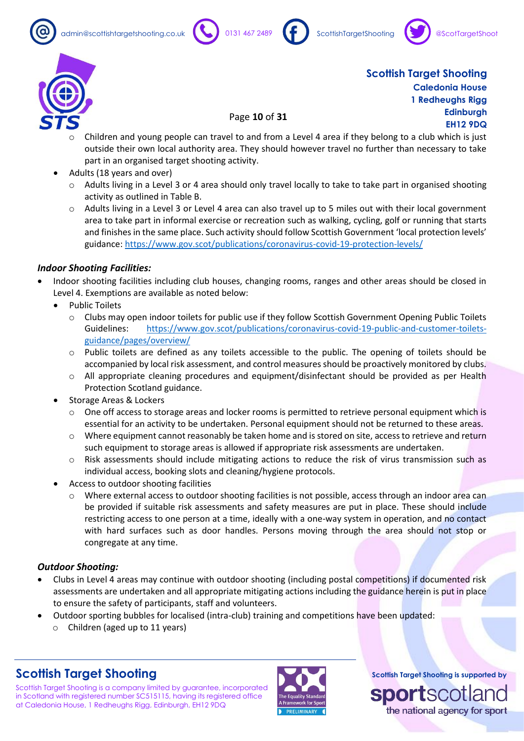admin@scottishtargetshooting.co.uk 0131 467 2489 ScottishTargetShooting







**Scottish Target Shooting Caledonia House 1 Redheughs Rigg Edinburgh EH12 9DQ**

- Page **10** of **31**
- Children and young people can travel to and from a Level 4 area if they belong to a club which is just outside their own local authority area. They should however travel no further than necessary to take part in an organised target shooting activity.
- Adults (18 years and over)
	- Adults living in a Level 3 or 4 area should only travel locally to take to take part in organised shooting activity as outlined in Table B.
	- $\circ$  Adults living in a Level 3 or Level 4 area can also travel up to 5 miles out with their local government area to take part in informal exercise or recreation such as walking, cycling, golf or running that starts and finishes in the same place. Such activity should follow Scottish Government 'local protection levels' guidance:<https://www.gov.scot/publications/coronavirus-covid-19-protection-levels/>

### *Indoor Shooting Facilities:*

- Indoor shooting facilities including club houses, changing rooms, ranges and other areas should be closed in Level 4. Exemptions are available as noted below:
	- Public Toilets
		- o Clubs may open indoor toilets for public use if they follow Scottish Government Opening Public Toilets Guidelines: [https://www.gov.scot/publications/coronavirus-covid-19-public-and-customer-toilets](https://www.gov.scot/publications/coronavirus-covid-19-public-and-customer-toilets-guidance/pages/overview/)[guidance/pages/overview/](https://www.gov.scot/publications/coronavirus-covid-19-public-and-customer-toilets-guidance/pages/overview/)
		- $\circ$  Public toilets are defined as any toilets accessible to the public. The opening of toilets should be accompanied by local risk assessment, and control measures should be proactively monitored by clubs.
		- o All appropriate cleaning procedures and equipment/disinfectant should be provided as per Health Protection Scotland guidance.
	- Storage Areas & Lockers
		- One off access to storage areas and locker rooms is permitted to retrieve personal equipment which is essential for an activity to be undertaken. Personal equipment should not be returned to these areas.
		- o Where equipment cannot reasonably be taken home and is stored on site, access to retrieve and return such equipment to storage areas is allowed if appropriate risk assessments are undertaken.
		- $\circ$  Risk assessments should include mitigating actions to reduce the risk of virus transmission such as individual access, booking slots and cleaning/hygiene protocols.
	- Access to outdoor shooting facilities
		- o Where external access to outdoor shooting facilities is not possible, access through an indoor area can be provided if suitable risk assessments and safety measures are put in place. These should include restricting access to one person at a time, ideally with a one-way system in operation, and no contact with hard surfaces such as door handles. Persons moving through the area should not stop or congregate at any time.

### *Outdoor Shooting:*

- Clubs in Level 4 areas may continue with outdoor shooting (including postal competitions) if documented risk assessments are undertaken and all appropriate mitigating actions including the guidance herein is put in place to ensure the safety of participants, staff and volunteers.
- Outdoor sporting bubbles for localised (intra-club) training and competitions have been updated:
	- o Children (aged up to 11 years)

# **Scottish Target Shooting**

Scottish Target Shooting is a company limited by guarantee, incorporated in Scotland with registered number SC515115, having its registered office at Caledonia House, 1 Redheughs Rigg, Edinburgh, EH12 9DQ

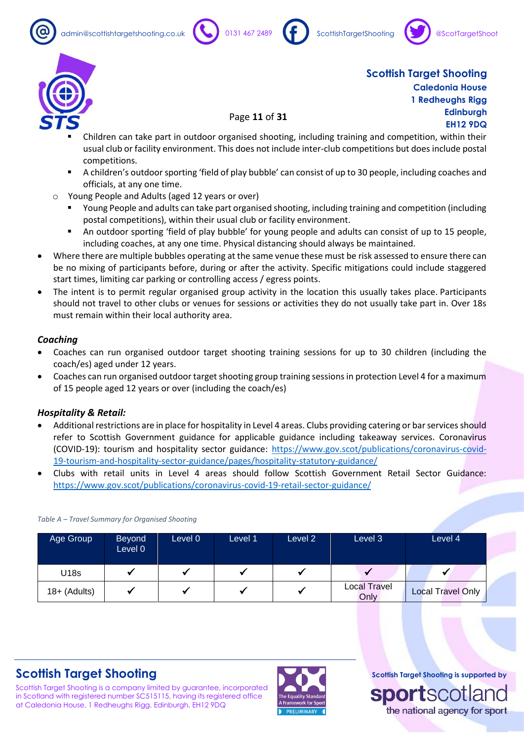







### Page **11** of **31**

- Children can take part in outdoor organised shooting, including training and competition, within their usual club or facility environment. This does not include inter-club competitions but does include postal competitions.
- A children's outdoor sporting 'field of play bubble' can consist of up to 30 people, including coaches and officials, at any one time.
- o Young People and Adults (aged 12 years or over)
	- Young People and adults can take part organised shooting, including training and competition (including postal competitions), within their usual club or facility environment.
	- An outdoor sporting 'field of play bubble' for young people and adults can consist of up to 15 people, including coaches, at any one time. Physical distancing should always be maintained.
- Where there are multiple bubbles operating at the same venue these must be risk assessed to ensure there can be no mixing of participants before, during or after the activity. Specific mitigations could include staggered start times, limiting car parking or controlling access / egress points.
- The intent is to permit regular organised group activity in the location this usually takes place. Participants should not travel to other clubs or venues for sessions or activities they do not usually take part in. Over 18s must remain within their local authority area.

#### *Coaching*

- Coaches can run organised outdoor target shooting training sessions for up to 30 children (including the coach/es) aged under 12 years.
- Coaches can run organised outdoor target shooting group training sessions in protection Level 4 for a maximum of 15 people aged 12 years or over (including the coach/es)

#### *Hospitality & Retail:*

- Additional restrictions are in place for hospitality in Level 4 areas. Clubs providing catering or bar services should refer to Scottish Government guidance for applicable guidance including takeaway services. Coronavirus (COVID-19): tourism and hospitality sector guidance: [https://www.gov.scot/publications/coronavirus-covid-](https://www.gov.scot/publications/coronavirus-covid-19-tourism-and-hospitality-sector-guidance/pages/hospitality-statutory-guidance/)[19-tourism-and-hospitality-sector-guidance/pages/hospitality-statutory-guidance/](https://www.gov.scot/publications/coronavirus-covid-19-tourism-and-hospitality-sector-guidance/pages/hospitality-statutory-guidance/)
- Clubs with retail units in Level 4 areas should follow Scottish Government Retail Sector Guidance: <https://www.gov.scot/publications/coronavirus-covid-19-retail-sector-guidance/>

| Age Group      | <b>Beyond</b><br>Level 0 | Level 0 | Level 1 | Level 2 | Level 3                     | Level 4                  |
|----------------|--------------------------|---------|---------|---------|-----------------------------|--------------------------|
| U18s           |                          |         |         |         |                             |                          |
| $18+$ (Adults) |                          |         |         |         | <b>Local Travel</b><br>Only | <b>Local Travel Only</b> |

#### *Table A – Travel Summary for Organised Shooting*

# **Scottish Target Shooting**

Scottish Target Shooting is a company limited by guarantee, incorporated in Scotland with registered number SC515115, having its registered office at Caledonia House, 1 Redheughs Rigg, Edinburgh, EH12 9DQ

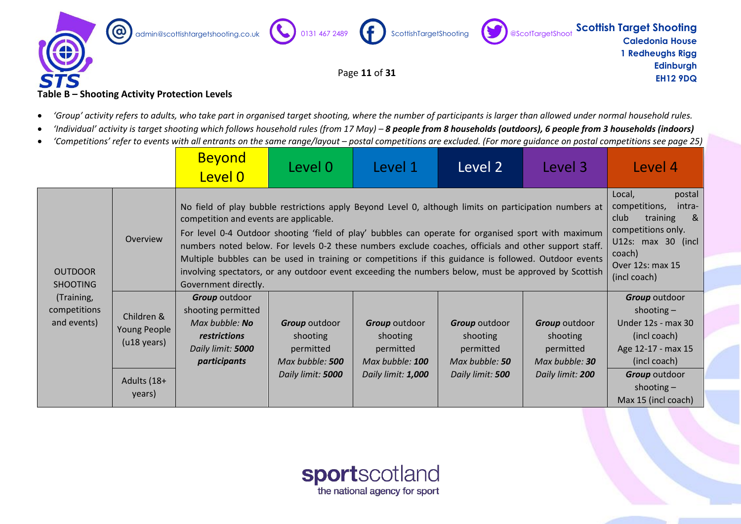

#### **Table B – Shooting Activity Protection Levels**

- 'Group' activity refers to adults, who take part in organised target shooting, where the number of participants is larger than allowed under normal household rules.
- 'Individual' activity is target shooting which follows household rules (from 17 May) 8 people from 8 households (outdoors), 6 people from 3 households (indoors)
- *'Competitions' refer to events with all entrants on the same range/layout – postal competitions are excluded. (For more guidance on postal competitions see page 25)*

|                                           |                                                                          | <b>Beyond</b><br>Level 0                                                                                                                                                                                                                                                                                                                                                                                                                                                                                                                                                                                  | Level 0                                                                               | Level 1                                                                                | Level 2                                                                             | Level 3                                                                             | Level 4                                                                                                                                                                   |
|-------------------------------------------|--------------------------------------------------------------------------|-----------------------------------------------------------------------------------------------------------------------------------------------------------------------------------------------------------------------------------------------------------------------------------------------------------------------------------------------------------------------------------------------------------------------------------------------------------------------------------------------------------------------------------------------------------------------------------------------------------|---------------------------------------------------------------------------------------|----------------------------------------------------------------------------------------|-------------------------------------------------------------------------------------|-------------------------------------------------------------------------------------|---------------------------------------------------------------------------------------------------------------------------------------------------------------------------|
| <b>OUTDOOR</b><br><b>SHOOTING</b>         | Overview                                                                 | No field of play bubble restrictions apply Beyond Level 0, although limits on participation numbers at<br>competition and events are applicable.<br>For level 0-4 Outdoor shooting 'field of play' bubbles can operate for organised sport with maximum<br>numbers noted below. For levels 0-2 these numbers exclude coaches, officials and other support staff.<br>Multiple bubbles can be used in training or competitions if this guidance is followed. Outdoor events<br>involving spectators, or any outdoor event exceeding the numbers below, must be approved by Scottish<br>Government directly. |                                                                                       |                                                                                        |                                                                                     |                                                                                     | Local,<br>postal<br>competitions,<br>intra-<br>training<br>club<br><u>&amp;</u><br>competitions only.<br>U12s: max 30 (incl<br>coach)<br>Over 12s: max 15<br>(incl coach) |
| (Training,<br>competitions<br>and events) | Children &<br>Young People<br>$($ u18 years $)$<br>Adults (18+<br>years) | Group outdoor<br>shooting permitted<br>Max bubble: No<br>restrictions<br>Daily limit: 5000<br>participants                                                                                                                                                                                                                                                                                                                                                                                                                                                                                                | <b>Group</b> outdoor<br>shooting<br>permitted<br>Max bubble: 500<br>Daily limit: 5000 | <b>Group</b> outdoor<br>shooting<br>permitted<br>Max bubble: 100<br>Daily limit: 1,000 | <b>Group</b> outdoor<br>shooting<br>permitted<br>Max bubble: 50<br>Daily limit: 500 | <b>Group</b> outdoor<br>shooting<br>permitted<br>Max bubble: 30<br>Daily limit: 200 | <b>Group</b> outdoor<br>shooting $-$<br>Under 12s - max 30<br>(incl coach)<br>Age 12-17 - max 15<br>(incl coach)<br>Group outdoor<br>shooting $-$<br>Max 15 (incl coach)  |

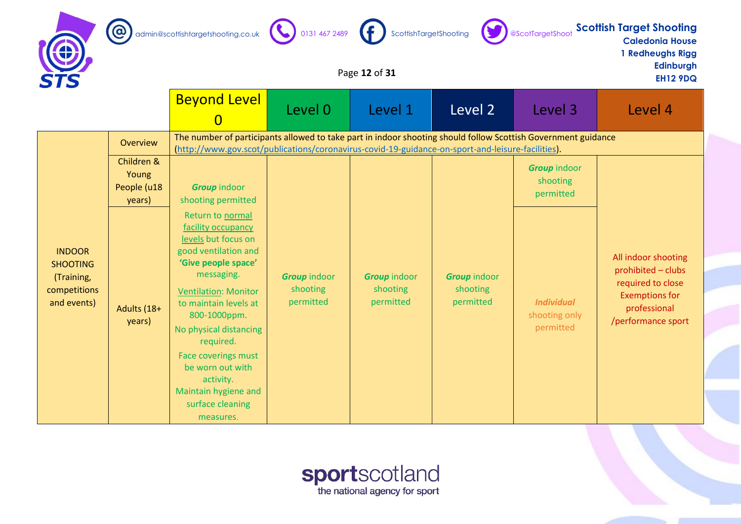







**Caledonia House 1 Redheughs Rigg**

**Edinburgh**

# Page **12** of **31** EH12 9DQ

|                                                                               |                                | <b>Beyond Level</b>                                                                                                                                                                                                                                                                                                                                        | Level 0                                      | Level 1                                      | Level 2                                      | Level 3                                         | Level 4                                                                                                                       |  |
|-------------------------------------------------------------------------------|--------------------------------|------------------------------------------------------------------------------------------------------------------------------------------------------------------------------------------------------------------------------------------------------------------------------------------------------------------------------------------------------------|----------------------------------------------|----------------------------------------------|----------------------------------------------|-------------------------------------------------|-------------------------------------------------------------------------------------------------------------------------------|--|
|                                                                               | Overview<br>Children &         | The number of participants allowed to take part in indoor shooting should follow Scottish Government guidance<br>(http://www.gov.scot/publications/coronavirus-covid-19-guidance-on-sport-and-leisure-facilities).                                                                                                                                         |                                              |                                              |                                              |                                                 |                                                                                                                               |  |
|                                                                               | Young<br>People (u18<br>years) | <b>Group</b> indoor<br>shooting permitted                                                                                                                                                                                                                                                                                                                  |                                              |                                              |                                              | <b>Group indoor</b><br>shooting<br>permitted    |                                                                                                                               |  |
| <b>INDOOR</b><br><b>SHOOTING</b><br>(Training,<br>competitions<br>and events) | Adults (18+<br>years)          | Return to normal<br>facility occupancy<br>levels but focus on<br>good ventilation and<br>'Give people space'<br>messaging.<br><b>Ventilation: Monitor</b><br>to maintain levels at<br>800-1000ppm.<br>No physical distancing<br>required.<br>Face coverings must<br>be worn out with<br>activity.<br>Maintain hygiene and<br>surface cleaning<br>measures. | <b>Group</b> indoor<br>shooting<br>permitted | <b>Group indoor</b><br>shooting<br>permitted | <b>Group indoor</b><br>shooting<br>permitted | <b>Individual</b><br>shooting only<br>permitted | All indoor shooting<br>prohibited - clubs<br>required to close<br><b>Exemptions for</b><br>professional<br>/performance sport |  |

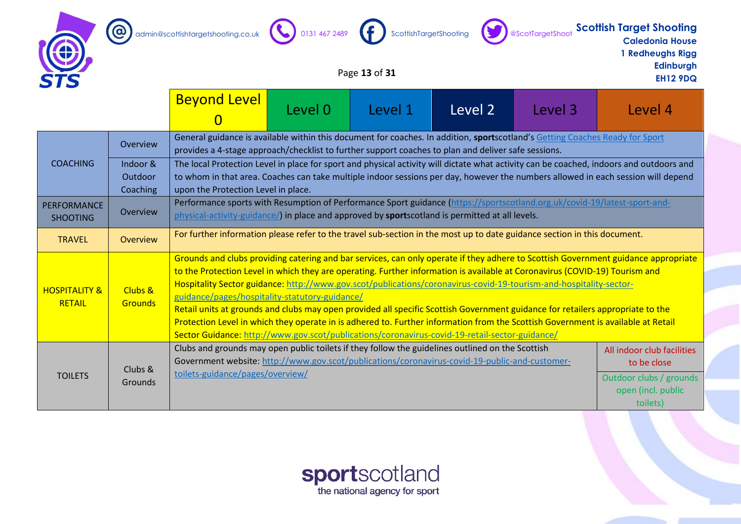







# admin@scottishtargetshooting.co.uk 0131 467 2489 ScottishTargetShooting @ScotTargetShoot **Scottish Target Shooting**<br>Caledonia House **Caledonia House**

**1 Redheughs Rigg Edinburgh**

# Page **13** of **31** EH12 9DQ

|                                           |                           | <b>Beyond Level</b>                                                                                                                                                                                                                                                                                                                                                                                                                                                                                                                                                                                                                                                                                                                                                                                               | Level 0                                                                                                                  | Level 1 | Level 2 | Level 3 | Level 4                                                                                                                          |  |
|-------------------------------------------|---------------------------|-------------------------------------------------------------------------------------------------------------------------------------------------------------------------------------------------------------------------------------------------------------------------------------------------------------------------------------------------------------------------------------------------------------------------------------------------------------------------------------------------------------------------------------------------------------------------------------------------------------------------------------------------------------------------------------------------------------------------------------------------------------------------------------------------------------------|--------------------------------------------------------------------------------------------------------------------------|---------|---------|---------|----------------------------------------------------------------------------------------------------------------------------------|--|
| <b>COACHING</b>                           | Overview<br>Indoor &      | General guidance is available within this document for coaches. In addition, sportscotland's Getting Coaches Ready for Sport<br>provides a 4-stage approach/checklist to further support coaches to plan and deliver safe sessions.<br>The local Protection Level in place for sport and physical activity will dictate what activity can be coached, indoors and outdoors and                                                                                                                                                                                                                                                                                                                                                                                                                                    |                                                                                                                          |         |         |         |                                                                                                                                  |  |
|                                           | Outdoor<br>Coaching       | upon the Protection Level in place.                                                                                                                                                                                                                                                                                                                                                                                                                                                                                                                                                                                                                                                                                                                                                                               |                                                                                                                          |         |         |         | to whom in that area. Coaches can take multiple indoor sessions per day, however the numbers allowed in each session will depend |  |
| <b>PERFORMANCE</b><br><b>SHOOTING</b>     | Overview                  | Performance sports with Resumption of Performance Sport guidance (https://sportscotland.org.uk/covid-19/latest-sport-and-<br>physical-activity-guidance/) in place and approved by <b>sports</b> cotland is permitted at all levels.                                                                                                                                                                                                                                                                                                                                                                                                                                                                                                                                                                              |                                                                                                                          |         |         |         |                                                                                                                                  |  |
| <b>TRAVEL</b>                             | Overview                  |                                                                                                                                                                                                                                                                                                                                                                                                                                                                                                                                                                                                                                                                                                                                                                                                                   | For further information please refer to the travel sub-section in the most up to date guidance section in this document. |         |         |         |                                                                                                                                  |  |
| <b>HOSPITALITY &amp;</b><br><b>RETAIL</b> | Clubs &<br><b>Grounds</b> | Grounds and clubs providing catering and bar services, can only operate if they adhere to Scottish Government guidance appropriate<br>to the Protection Level in which they are operating. Further information is available at Coronavirus (COVID-19) Tourism and<br>Hospitality Sector guidance: http://www.gov.scot/publications/coronavirus-covid-19-tourism-and-hospitality-sector-<br>guidance/pages/hospitality-statutory-guidance/<br>Retail units at grounds and clubs may open provided all specific Scottish Government guidance for retailers appropriate to the<br>Protection Level in which they operate in is adhered to. Further information from the Scottish Government is available at Retail<br>Sector Guidance: http://www.gov.scot/publications/coronavirus-covid-19-retail-sector-guidance/ |                                                                                                                          |         |         |         |                                                                                                                                  |  |
| <b>TOILETS</b>                            | Clubs &<br><b>Grounds</b> | Clubs and grounds may open public toilets if they follow the guidelines outlined on the Scottish<br>Government website: http://www.gov.scot/publications/coronavirus-covid-19-public-and-customer-<br>toilets-guidance/pages/overview/                                                                                                                                                                                                                                                                                                                                                                                                                                                                                                                                                                            |                                                                                                                          |         |         |         | All indoor club facilities<br>to be close<br>Outdoor clubs / grounds<br>open (incl. public<br>toilets)                           |  |

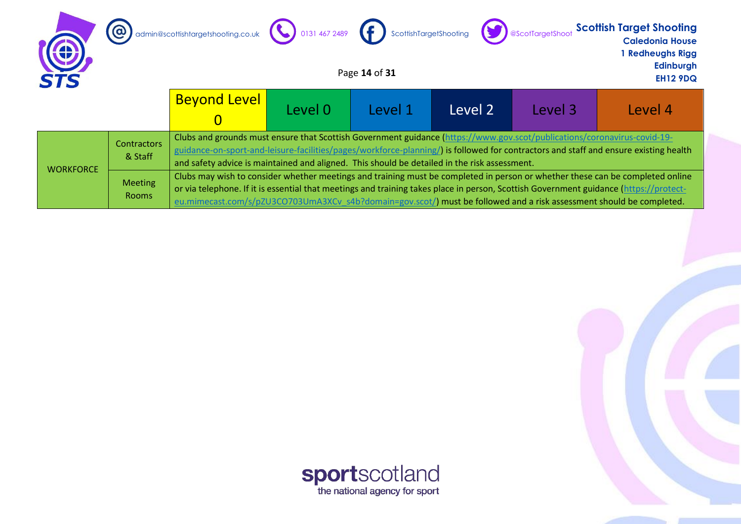| <b>STS</b>       | $\overline{\omega}$            | admin@scottishtargetshooting.co.uk (0) 0131 467 2489 (1) ScottishTargetShooting ScotTargetShoot                                                                                                                                                                                                                                                                                                |         | Page 14 of 31 |         |         | <b>Scottish Target Shooting</b><br><b>Caledonia House</b><br><b>I Redheughs Rigg</b><br>Edinburgh<br><b>EH12 9DQ</b>                 |
|------------------|--------------------------------|------------------------------------------------------------------------------------------------------------------------------------------------------------------------------------------------------------------------------------------------------------------------------------------------------------------------------------------------------------------------------------------------|---------|---------------|---------|---------|--------------------------------------------------------------------------------------------------------------------------------------|
|                  |                                | <b>Beyond Level</b>                                                                                                                                                                                                                                                                                                                                                                            | Level 0 | Level 1       | Level 2 | Level 3 | Level 4                                                                                                                              |
|                  | <b>Contractors</b><br>& Staff  | Clubs and grounds must ensure that Scottish Government guidance (https://www.gov.scot/publications/coronavirus-covid-19-<br>and safety advice is maintained and aligned. This should be detailed in the risk assessment.                                                                                                                                                                       |         |               |         |         | guidance-on-sport-and-leisure-facilities/pages/workforce-planning/) is followed for contractors and staff and ensure existing health |
| <b>WORKFORCE</b> | <b>Meeting</b><br><b>Rooms</b> | Clubs may wish to consider whether meetings and training must be completed in person or whether these can be completed online<br>or via telephone. If it is essential that meetings and training takes place in person, Scottish Government guidance (https://protect-<br>eu.mimecast.com/s/pZU3CO703UmA3XCv s4b?domain=gov.scot/) must be followed and a risk assessment should be completed. |         |               |         |         |                                                                                                                                      |

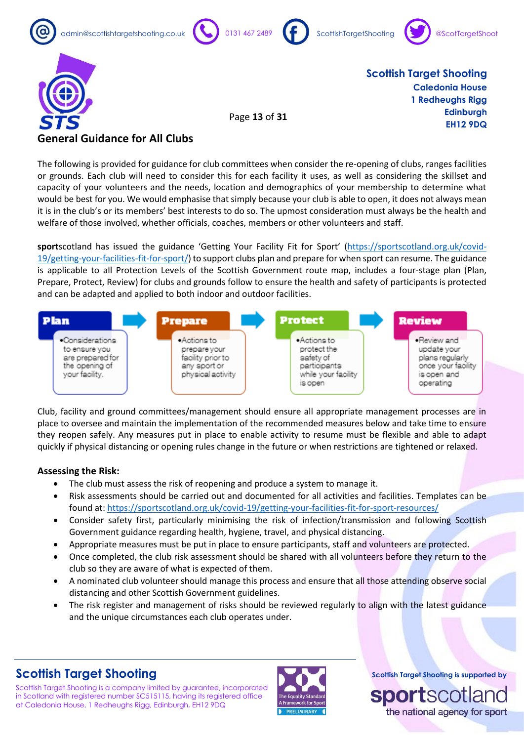





Page **13** of **31**

**Scottish Target Shooting Caledonia House 1 Redheughs Rigg Edinburgh EH12 9DQ**

### **General Guidance for All Clubs**

The following is provided for guidance for club committees when consider the re-opening of clubs, ranges facilities or grounds. Each club will need to consider this for each facility it uses, as well as considering the skillset and capacity of your volunteers and the needs, location and demographics of your membership to determine what would be best for you. We would emphasise that simply because your club is able to open, it does not always mean it is in the club's or its members' best interests to do so. The upmost consideration must always be the health and welfare of those involved, whether officials, coaches, members or other volunteers and staff.

**sport**scotland has issued the guidance 'Getting Your Facility Fit for Sport' ([https://sportscotland.org.uk/covid-](https://sportscotland.org.uk/covid-19/getting-your-facilities-fit-for-sport/)[19/getting-your-facilities-fit-for-sport/\)](https://sportscotland.org.uk/covid-19/getting-your-facilities-fit-for-sport/) to support clubs plan and prepare for when sport can resume. The guidance is applicable to all Protection Levels of the Scottish Government route map, includes a four-stage plan (Plan, Prepare, Protect, Review) for clubs and grounds follow to ensure the health and safety of participants is protected and can be adapted and applied to both indoor and outdoor facilities.



Club, facility and ground committees/management should ensure all appropriate management processes are in place to oversee and maintain the implementation of the recommended measures below and take time to ensure they reopen safely. Any measures put in place to enable activity to resume must be flexible and able to adapt quickly if physical distancing or opening rules change in the future or when restrictions are tightened or relaxed.

### **Assessing the Risk:**

- The club must assess the risk of reopening and produce a system to manage it.
- Risk assessments should be carried out and documented for all activities and facilities. Templates can be found at:<https://sportscotland.org.uk/covid-19/getting-your-facilities-fit-for-sport-resources/>
- Consider safety first, particularly minimising the risk of infection/transmission and following Scottish Government guidance regarding health, hygiene, travel, and physical distancing.
- Appropriate measures must be put in place to ensure participants, staff and volunteers are protected.
- Once completed, the club risk assessment should be shared with all volunteers before they return to the club so they are aware of what is expected of them.
- A nominated club volunteer should manage this process and ensure that all those attending observe social distancing and other Scottish Government guidelines.
- The risk register and management of risks should be reviewed regularly to align with the latest guidance and the unique circumstances each club operates under.

# **Scottish Target Shooting**

Scottish Target Shooting is a company limited by guarantee, incorporated in Scotland with registered number SC515115, having its registered office at Caledonia House, 1 Redheughs Rigg, Edinburgh, EH12 9DQ

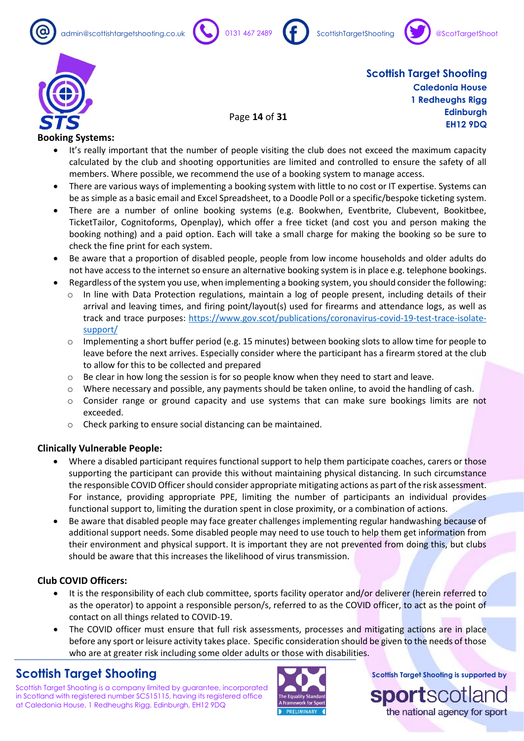









Page **14** of **31**

**Scottish Target Shooting Caledonia House 1 Redheughs Rigg Edinburgh EH12 9DQ**

### **Booking Systems:**

- It's really important that the number of people visiting the club does not exceed the maximum capacity calculated by the club and shooting opportunities are limited and controlled to ensure the safety of all members. Where possible, we recommend the use of a booking system to manage access.
- There are various ways of implementing a booking system with little to no cost or IT expertise. Systems can be as simple as a basic email and Excel Spreadsheet, to a Doodle Poll or a specific/bespoke ticketing system.
- There are a number of online booking systems (e.g. Bookwhen, Eventbrite, Clubevent, Bookitbee, TicketTailor, Cognitoforms, Openplay), which offer a free ticket (and cost you and person making the booking nothing) and a paid option. Each will take a small charge for making the booking so be sure to check the fine print for each system.
- Be aware that a proportion of disabled people, people from low income households and older adults do not have access to the internet so ensure an alternative booking system is in place e.g. telephone bookings.
- Regardless of the system you use, when implementing a booking system, you should consider the following:
	- $\circ$  In line with Data Protection regulations, maintain a log of people present, including details of their arrival and leaving times, and firing point/layout(s) used for firearms and attendance logs, as well as track and trace purposes: [https://www.gov.scot/publications/coronavirus-covid-19-test-trace-isolate](https://www.gov.scot/publications/coronavirus-covid-19-test-trace-isolate-support/)[support/](https://www.gov.scot/publications/coronavirus-covid-19-test-trace-isolate-support/)
	- $\circ$  Implementing a short buffer period (e.g. 15 minutes) between booking slots to allow time for people to leave before the next arrives. Especially consider where the participant has a firearm stored at the club to allow for this to be collected and prepared
	- $\circ$  Be clear in how long the session is for so people know when they need to start and leave.
	- o Where necessary and possible, any payments should be taken online, to avoid the handling of cash.
	- $\circ$  Consider range or ground capacity and use systems that can make sure bookings limits are not exceeded.
	- o Check parking to ensure social distancing can be maintained.

### **Clinically Vulnerable People:**

- Where a disabled participant requires functional support to help them participate coaches, carers or those supporting the participant can provide this without maintaining physical distancing. In such circumstance the responsible COVID Officer should consider appropriate mitigating actions as part of the risk assessment. For instance, providing appropriate PPE, limiting the number of participants an individual provides functional support to, limiting the duration spent in close proximity, or a combination of actions.
- Be aware that disabled people may face greater challenges implementing regular handwashing because of additional support needs. Some disabled people may need to use touch to help them get information from their environment and physical support. It is important they are not prevented from doing this, but clubs should be aware that this increases the likelihood of virus transmission.

### **Club COVID Officers:**

- It is the responsibility of each club committee, sports facility operator and/or deliverer (herein referred to as the operator) to appoint a responsible person/s, referred to as the COVID officer, to act as the point of contact on all things related to COVID-19.
- The COVID officer must ensure that full risk assessments, processes and mitigating actions are in place before any sport or leisure activity takes place. Specific consideration should be given to the needs of those who are at greater risk including some older adults or those with disabilities.

### **Scottish Target Shooting**

Scottish Target Shooting is a company limited by guarantee, incorporated in Scotland with registered number SC515115, having its registered office at Caledonia House, 1 Redheughs Rigg, Edinburgh, EH12 9DQ



**Scottish Target Shooting is supported by**

sportscollar the national agency for sport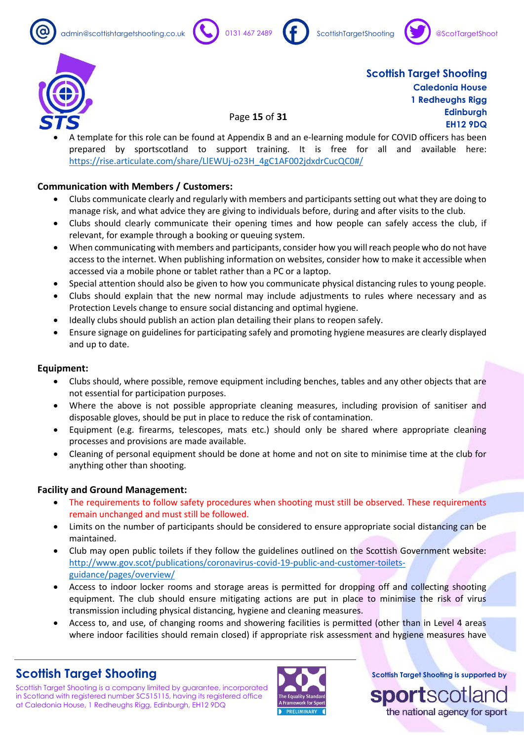







• A template for this role can be found at Appendix B and an e-learning module for COVID officers has been prepared by sportscotland to support training. It is free for all and available here: [https://rise.articulate.com/share/LlEWUj-o23H\\_4gC1AF002jdxdrCucQC0#/](https://rise.articulate.com/share/LlEWUj-o23H_4gC1AF002jdxdrCucQC0#/)

Page **15** of **31**

### **Communication with Members / Customers:**

- Clubs communicate clearly and regularly with members and participants setting out what they are doing to manage risk, and what advice they are giving to individuals before, during and after visits to the club.
- Clubs should clearly communicate their opening times and how people can safely access the club, if relevant, for example through a booking or queuing system.
- When communicating with members and participants, consider how you will reach people who do not have access to the internet. When publishing information on websites, consider how to make it accessible when accessed via a mobile phone or tablet rather than a PC or a laptop.
- Special attention should also be given to how you communicate physical distancing rules to young people.
- Clubs should explain that the new normal may include adjustments to rules where necessary and as Protection Levels change to ensure social distancing and optimal hygiene.
- Ideally clubs should publish an action plan detailing their plans to reopen safely.
- Ensure signage on guidelines for participating safely and promoting hygiene measures are clearly displayed and up to date.

#### **Equipment:**

- Clubs should, where possible, remove equipment including benches, tables and any other objects that are not essential for participation purposes.
- Where the above is not possible appropriate cleaning measures, including provision of sanitiser and disposable gloves, should be put in place to reduce the risk of contamination.
- Equipment (e.g. firearms, telescopes, mats etc.) should only be shared where appropriate cleaning processes and provisions are made available.
- Cleaning of personal equipment should be done at home and not on site to minimise time at the club for anything other than shooting.

### **Facility and Ground Management:**

- The requirements to follow safety procedures when shooting must still be observed. These requirements remain unchanged and must still be followed.
- Limits on the number of participants should be considered to ensure appropriate social distancing can be maintained.
- Club may open public toilets if they follow the guidelines outlined on the Scottish Government website: [http://www.gov.scot/publications/coronavirus-covid-19-public-and-customer-toilets](http://www.gov.scot/publications/coronavirus-covid-19-public-and-customer-toilets-guidance/pages/overview/)[guidance/pages/overview/](http://www.gov.scot/publications/coronavirus-covid-19-public-and-customer-toilets-guidance/pages/overview/)
- Access to indoor locker rooms and storage areas is permitted for dropping off and collecting shooting equipment. The club should ensure mitigating actions are put in place to minimise the risk of virus transmission including physical distancing, hygiene and cleaning measures.
- Access to, and use, of changing rooms and showering facilities is permitted (other than in Level 4 areas where indoor facilities should remain closed) if appropriate risk assessment and hygiene measures have

# **Scottish Target Shooting**

Scottish Target Shooting is a company limited by guarantee, incorporated in Scotland with registered number SC515115, having its registered office at Caledonia House, 1 Redheughs Rigg, Edinburgh, EH12 9DQ



**Scottish Target Shooting is supported by**

**SOO7** the national agency for sport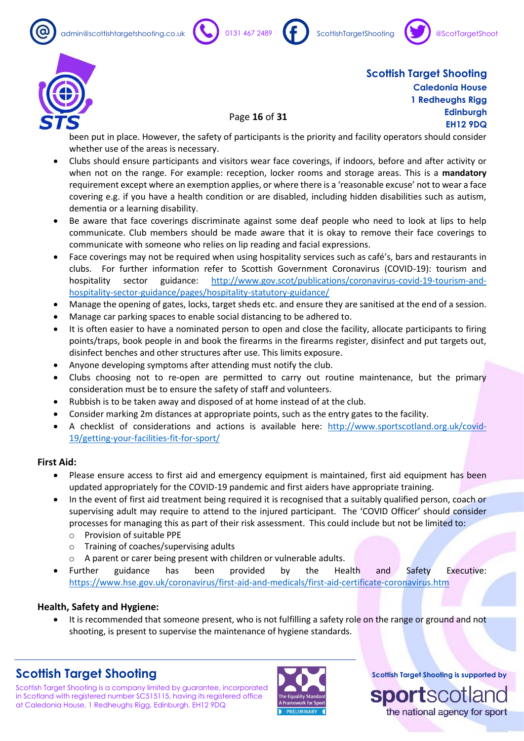admin@scottishtargetshooting.co.uk 0131 467 2489 ScottishTargetShooting









**Scottish Target Shooting Caledonia House 1 Redheughs Rigg Edinburgh EH12 9DQ**

been put in place. However, the safety of participants is the priority and facility operators should consider whether use of the areas is necessary.

Page **16** of **31**

- Clubs should ensure participants and visitors wear face coverings, if indoors, before and after activity or when not on the range. For example: reception, locker rooms and storage areas. This is a **mandatory** requirement except where an exemption applies, or where there is a 'reasonable excuse' not to wear a face covering e.g. if you have a health condition or are disabled, including hidden disabilities such as autism, dementia or a learning disability.
- Be aware that face coverings discriminate against some deaf people who need to look at lips to help communicate. Club members should be made aware that it is okay to remove their face coverings to communicate with someone who relies on lip reading and facial expressions.
- Face coverings may not be required when using hospitality services such as café's, bars and restaurants in clubs. For further information refer to Scottish Government Coronavirus (COVID-19): tourism and hospitality sector guidance: [http://www.gov.scot/publications/coronavirus-covid-19-tourism-and](http://www.gov.scot/publications/coronavirus-covid-19-tourism-and-hospitality-sector-guidance/pages/hospitality-statutory-guidance/)[hospitality-sector-guidance/pages/hospitality-statutory-guidance/](http://www.gov.scot/publications/coronavirus-covid-19-tourism-and-hospitality-sector-guidance/pages/hospitality-statutory-guidance/)
- Manage the opening of gates, locks, target sheds etc. and ensure they are sanitised at the end of a session.
- Manage car parking spaces to enable social distancing to be adhered to.
- It is often easier to have a nominated person to open and close the facility, allocate participants to firing points/traps, book people in and book the firearms in the firearms register, disinfect and put targets out, disinfect benches and other structures after use. This limits exposure.
- Anyone developing symptoms after attending must notify the club.
- Clubs choosing not to re-open are permitted to carry out routine maintenance, but the primary consideration must be to ensure the safety of staff and volunteers.
- Rubbish is to be taken away and disposed of at home instead of at the club.
- Consider marking 2m distances at appropriate points, such as the entry gates to the facility.
- A checklist of considerations and actions is available here: [http://www.sportscotland.org.uk/covid-](http://www.sportscotland.org.uk/covid-19/getting-your-facilities-fit-for-sport/)[19/getting-your-facilities-fit-for-sport/](http://www.sportscotland.org.uk/covid-19/getting-your-facilities-fit-for-sport/)

#### **First Aid:**

- Please ensure access to first aid and emergency equipment is maintained, first aid equipment has been updated appropriately for the COVID-19 pandemic and first aiders have appropriate training.
- In the event of first aid treatment being required it is recognised that a suitably qualified person, coach or supervising adult may require to attend to the injured participant. The 'COVID Officer' should consider processes for managing this as part of their risk assessment. This could include but not be limited to:
	- o Provision of suitable PPE
	- o Training of coaches/supervising adults
	- o A parent or carer being present with children or vulnerable adults.
- Further guidance has been provided by the Health and Safety Executive: <https://www.hse.gov.uk/coronavirus/first-aid-and-medicals/first-aid-certificate-coronavirus.htm>

### **Health, Safety and Hygiene:**

• It is recommended that someone present, who is not fulfilling a safety role on the range or ground and not shooting, is present to supervise the maintenance of hygiene standards.

# **Scottish Target Shooting**

Scottish Target Shooting is a company limited by guarantee, incorporated in Scotland with registered number SC515115, having its registered office at Caledonia House, 1 Redheughs Rigg, Edinburgh, EH12 9DQ



**Scottish Target Shooting is supported by**

sportscotlar the national agency for sport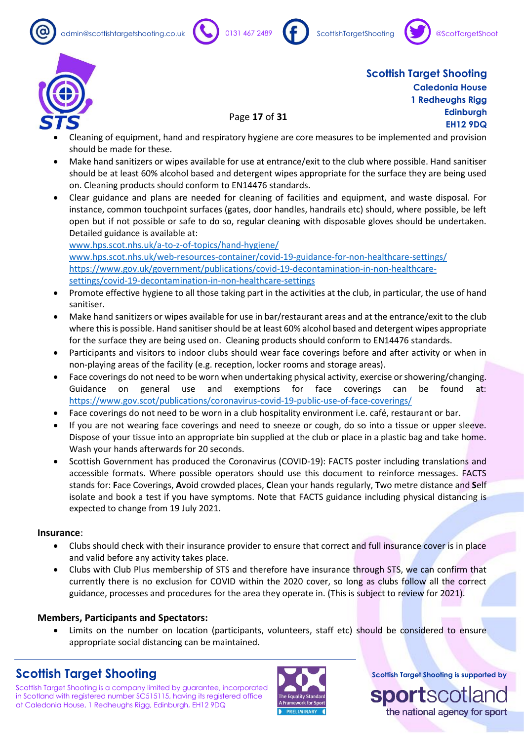







• Cleaning of equipment, hand and respiratory hygiene are core measures to be implemented and provision should be made for these.

Page **17** of **31**

- Make hand sanitizers or wipes available for use at entrance/exit to the club where possible. Hand sanitiser should be at least 60% alcohol based and detergent wipes appropriate for the surface they are being used on. Cleaning products should conform to EN14476 standards.
- Clear guidance and plans are needed for cleaning of facilities and equipment, and waste disposal. For instance, common touchpoint surfaces (gates, door handles, handrails etc) should, where possible, be left open but if not possible or safe to do so, regular cleaning with disposable gloves should be undertaken. Detailed guidance is available at:

[www.hps.scot.nhs.uk/a-to-z-of-topics/hand-hygiene/](http://www.hps.scot.nhs.uk/a-to-z-of-topics/hand-hygiene/) [www.hps.scot.nhs.uk/web-resources-container/covid-19-guidance-for-non-healthcare-settings/](http://www.hps.scot.nhs.uk/web-resources-container/covid-19-guidance-for-non-healthcare-settings/) [https://www.gov.uk/government/publications/covid-19-decontamination-in-non-healthcare](https://www.gov.uk/government/publications/covid-19-decontamination-in-non-healthcare-settings/covid-19-decontamination-in-non-healthcare-settings)[settings/covid-19-decontamination-in-non-healthcare-settings](https://www.gov.uk/government/publications/covid-19-decontamination-in-non-healthcare-settings/covid-19-decontamination-in-non-healthcare-settings)

- Promote effective hygiene to all those taking part in the activities at the club, in particular, the use of hand sanitiser.
- Make hand sanitizers or wipes available for use in bar/restaurant areas and at the entrance/exit to the club where this is possible. Hand sanitiser should be at least 60% alcohol based and detergent wipes appropriate for the surface they are being used on. Cleaning products should conform to EN14476 standards.
- Participants and visitors to indoor clubs should wear face coverings before and after activity or when in non-playing areas of the facility (e.g. reception, locker rooms and storage areas).
- Face coverings do not need to be worn when undertaking physical activity, exercise or showering/changing. Guidance on general use and exemptions for face coverings can be found at: <https://www.gov.scot/publications/coronavirus-covid-19-public-use-of-face-coverings/>
- Face coverings do not need to be worn in a club hospitality environment i.e. café, restaurant or bar.
- If you are not wearing face coverings and need to sneeze or cough, do so into a tissue or upper sleeve. Dispose of your tissue into an appropriate bin supplied at the club or place in a plastic bag and take home. Wash your hands afterwards for 20 seconds.
- Scottish Government has produced the Coronavirus (COVID-19): FACTS poster including translations and accessible formats. Where possible operators should use this document to reinforce messages. FACTS stands for: **F**ace Coverings, **A**void crowded places, **C**lean your hands regularly, **T**wo metre distance and **S**elf isolate and book a test if you have symptoms. Note that FACTS guidance including physical distancing is expected to change from 19 July 2021.

### **Insurance**:

- Clubs should check with their insurance provider to ensure that correct and full insurance cover is in place and valid before any activity takes place.
- Clubs with Club Plus membership of STS and therefore have insurance through STS, we can confirm that currently there is no exclusion for COVID within the 2020 cover, so long as clubs follow all the correct guidance, processes and procedures for the area they operate in. (This is subject to review for 2021).

### **Members, Participants and Spectators:**

• Limits on the number on location (participants, volunteers, staff etc) should be considered to ensure appropriate social distancing can be maintained.

# **Scottish Target Shooting**

Scottish Target Shooting is a company limited by guarantee, incorporated in Scotland with registered number SC515115, having its registered office at Caledonia House, 1 Redheughs Rigg, Edinburgh, EH12 9DQ



**Scottish Target Shooting is supported by**

**SOO7** the national agency for sport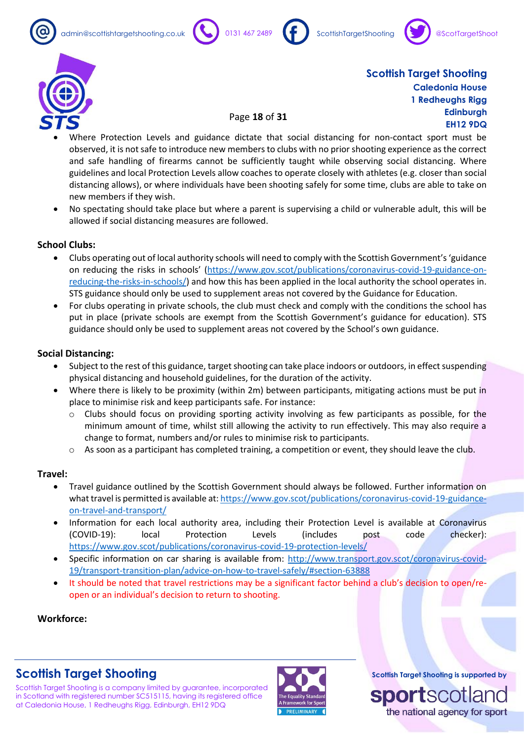







### Page **18** of **31**

- Where Protection Levels and guidance dictate that social distancing for non-contact sport must be observed, it is not safe to introduce new members to clubs with no prior shooting experience as the correct and safe handling of firearms cannot be sufficiently taught while observing social distancing. Where guidelines and local Protection Levels allow coaches to operate closely with athletes (e.g. closer than social distancing allows), or where individuals have been shooting safely for some time, clubs are able to take on new members if they wish.
- No spectating should take place but where a parent is supervising a child or vulnerable adult, this will be allowed if social distancing measures are followed.

### **School Clubs:**

- Clubs operating out of local authority schools will need to comply with the Scottish Government's 'guidance on reducing the risks in schools' [\(https://www.gov.scot/publications/coronavirus-covid-19-guidance-on](https://www.gov.scot/publications/coronavirus-covid-19-guidance-on-reducing-the-risks-in-schools/)[reducing-the-risks-in-schools/\)](https://www.gov.scot/publications/coronavirus-covid-19-guidance-on-reducing-the-risks-in-schools/) and how this has been applied in the local authority the school operates in. STS guidance should only be used to supplement areas not covered by the Guidance for Education.
- For clubs operating in private schools, the club must check and comply with the conditions the school has put in place (private schools are exempt from the Scottish Government's guidance for education). STS guidance should only be used to supplement areas not covered by the School's own guidance.

#### **Social Distancing:**

- Subject to the rest of this guidance, target shooting can take place indoors or outdoors, in effect suspending physical distancing and household guidelines, for the duration of the activity.
- Where there is likely to be proximity (within 2m) between participants, mitigating actions must be put in place to minimise risk and keep participants safe. For instance:
	- $\circ$  Clubs should focus on providing sporting activity involving as few participants as possible, for the minimum amount of time, whilst still allowing the activity to run effectively. This may also require a change to format, numbers and/or rules to minimise risk to participants.
	- $\circ$  As soon as a participant has completed training, a competition or event, they should leave the club.

### **Travel:**

- Travel guidance outlined by the Scottish Government should always be followed. Further information on what travel is permitted is available at[: https://www.gov.scot/publications/coronavirus-covid-19-guidance](https://www.gov.scot/publications/coronavirus-covid-19-guidance-on-travel-and-transport/)[on-travel-and-transport/](https://www.gov.scot/publications/coronavirus-covid-19-guidance-on-travel-and-transport/)
- Information for each local authority area, including their Protection Level is available at Coronavirus (COVID-19): local Protection Levels (includes post code checker): <https://www.gov.scot/publications/coronavirus-covid-19-protection-levels/>
- Specific information on car sharing is available from: [http://www.transport.gov.scot/coronavirus-covid-](http://www.transport.gov.scot/coronavirus-covid-19/transport-transition-plan/advice-on-how-to-travel-safely/#section-63888)[19/transport-transition-plan/advice-on-how-to-travel-safely/#section-63888](http://www.transport.gov.scot/coronavirus-covid-19/transport-transition-plan/advice-on-how-to-travel-safely/#section-63888)
- It should be noted that travel restrictions may be a significant factor behind a club's decision to open/reopen or an individual's decision to return to shooting.

**Workforce:**

### **Scottish Target Shooting**

Scottish Target Shooting is a company limited by guarantee, incorporated in Scotland with registered number SC515115, having its registered office at Caledonia House, 1 Redheughs Rigg, Edinburgh, EH12 9DQ

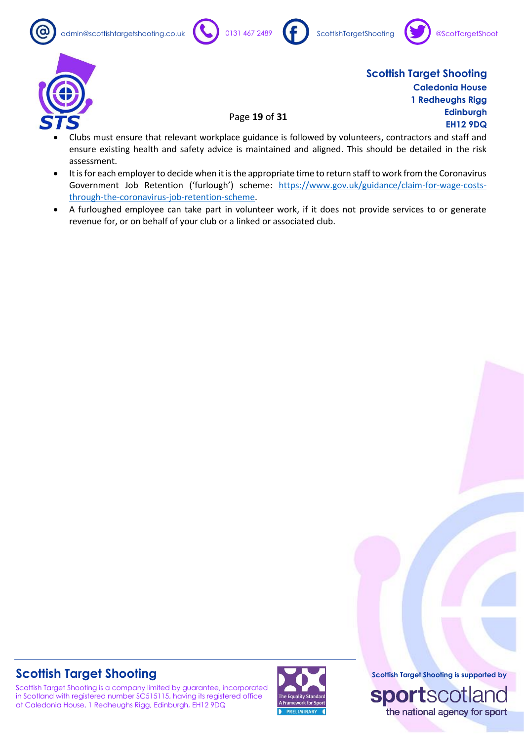admin@scottishtargetshooting.co.uk 0131 467 2489 (f) ScottishTargetShooting









**Scottish Target Shooting Caledonia House 1 Redheughs Rigg Edinburgh EH12 9DQ**

- Page **19** of **31**
- Clubs must ensure that relevant workplace guidance is followed by volunteers, contractors and staff and ensure existing health and safety advice is maintained and aligned. This should be detailed in the risk assessment.
- It is for each employer to decide when it is the appropriate time to return staff to work from the Coronavirus Government Job Retention ('furlough') scheme: [https://www.gov.uk/guidance/claim-for-wage-costs](https://www.gov.uk/guidance/claim-for-wage-costs-through-the-coronavirus-job-retention-scheme)[through-the-coronavirus-job-retention-scheme.](https://www.gov.uk/guidance/claim-for-wage-costs-through-the-coronavirus-job-retention-scheme)
- A furloughed employee can take part in volunteer work, if it does not provide services to or generate revenue for, or on behalf of your club or a linked or associated club.

# **Scottish Target Shooting**

Scottish Target Shooting is a company limited by guarantee, incorporated in Scotland with registered number SC515115, having its registered office at Caledonia House, 1 Redheughs Rigg, Edinburgh, EH12 9DQ

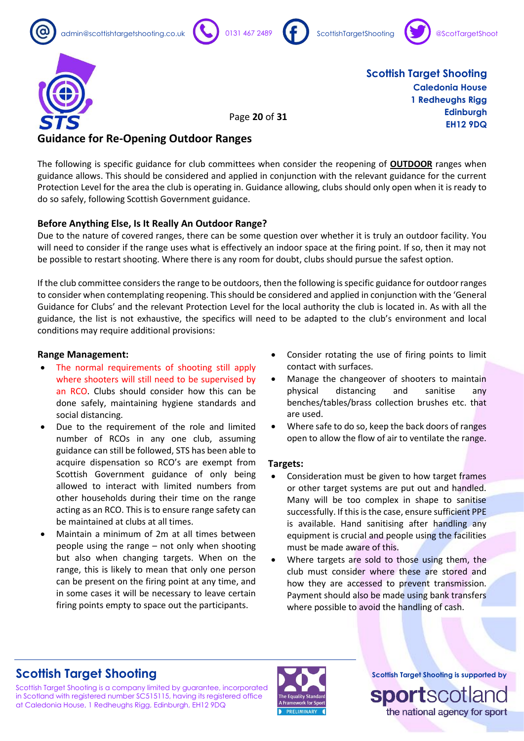









Page **20** of **31**

**Scottish Target Shooting Caledonia House 1 Redheughs Rigg Edinburgh EH12 9DQ**

### **Guidance for Re-Opening Outdoor Ranges**

The following is specific guidance for club committees when consider the reopening of **OUTDOOR** ranges when guidance allows. This should be considered and applied in conjunction with the relevant guidance for the current Protection Level for the area the club is operating in. Guidance allowing, clubs should only open when it is ready to do so safely, following Scottish Government guidance.

### **Before Anything Else, Is It Really An Outdoor Range?**

Due to the nature of covered ranges, there can be some question over whether it is truly an outdoor facility. You will need to consider if the range uses what is effectively an indoor space at the firing point. If so, then it may not be possible to restart shooting. Where there is any room for doubt, clubs should pursue the safest option.

If the club committee considers the range to be outdoors, then the following is specific guidance for outdoor ranges to consider when contemplating reopening. This should be considered and applied in conjunction with the 'General Guidance for Clubs' and the relevant Protection Level for the local authority the club is located in. As with all the guidance, the list is not exhaustive, the specifics will need to be adapted to the club's environment and local conditions may require additional provisions:

### **Range Management:**

- The normal requirements of shooting still apply where shooters will still need to be supervised by an RCO. Clubs should consider how this can be done safely, maintaining hygiene standards and social distancing.
- Due to the requirement of the role and limited number of RCOs in any one club, assuming guidance can still be followed, STS has been able to acquire dispensation so RCO's are exempt from Scottish Government guidance of only being allowed to interact with limited numbers from other households during their time on the range acting as an RCO. This is to ensure range safety can be maintained at clubs at all times.
- Maintain a minimum of 2m at all times between people using the range – not only when shooting but also when changing targets. When on the range, this is likely to mean that only one person can be present on the firing point at any time, and in some cases it will be necessary to leave certain firing points empty to space out the participants.
- Consider rotating the use of firing points to limit contact with surfaces.
- Manage the changeover of shooters to maintain physical distancing and sanitise any benches/tables/brass collection brushes etc. that are used.
- Where safe to do so, keep the back doors of ranges open to allow the flow of air to ventilate the range.

### **Targets:**

- Consideration must be given to how target frames or other target systems are put out and handled. Many will be too complex in shape to sanitise successfully. If this is the case, ensure sufficient PPE is available. Hand sanitising after handling any equipment is crucial and people using the facilities must be made aware of this.
- Where targets are sold to those using them, the club must consider where these are stored and how they are accessed to prevent transmission. Payment should also be made using bank transfers where possible to avoid the handling of cash.

### **Scottish Target Shooting**

Scottish Target Shooting is a company limited by guarantee, incorporated in Scotland with registered number SC515115, having its registered office at Caledonia House, 1 Redheughs Rigg, Edinburgh, EH12 9DQ

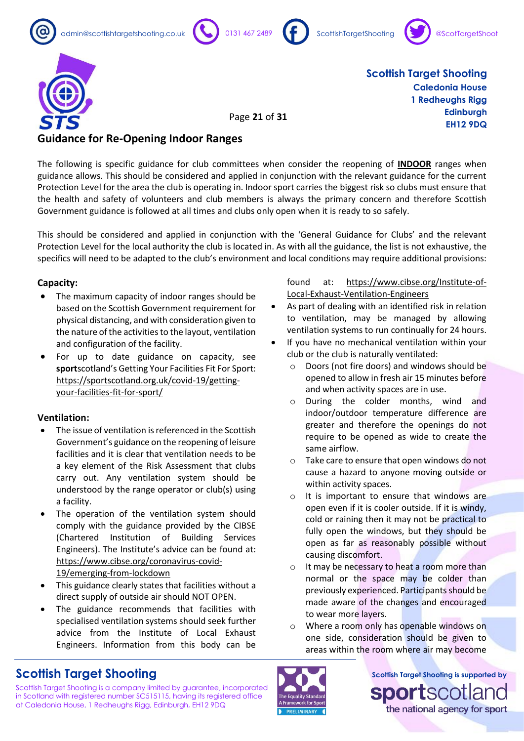









Page **21** of **31**

**Scottish Target Shooting Caledonia House 1 Redheughs Rigg Edinburgh EH12 9DQ**

### **Guidance for Re-Opening Indoor Ranges**

The following is specific guidance for club committees when consider the reopening of **INDOOR** ranges when guidance allows. This should be considered and applied in conjunction with the relevant guidance for the current Protection Level for the area the club is operating in. Indoor sport carries the biggest risk so clubs must ensure that the health and safety of volunteers and club members is always the primary concern and therefore Scottish Government guidance is followed at all times and clubs only open when it is ready to so safely.

This should be considered and applied in conjunction with the 'General Guidance for Clubs' and the relevant Protection Level for the local authority the club is located in. As with all the guidance, the list is not exhaustive, the specifics will need to be adapted to the club's environment and local conditions may require additional provisions:

### **Capacity:**

- The maximum capacity of indoor ranges should be based on the Scottish Government requirement for physical distancing, and with consideration given to the nature of the activities to the layout, ventilation and configuration of the facility.
- For up to date guidance on capacity, see **sport**scotland's Getting Your Facilities Fit For Sport: [https://sportscotland.org.uk/covid-19/getting](https://sportscotland.org.uk/covid-19/getting-your-facilities-fit-for-sport/)[your-facilities-fit-for-sport/](https://sportscotland.org.uk/covid-19/getting-your-facilities-fit-for-sport/)

### **Ventilation:**

- The issue of ventilation is referenced in the Scottish Government's guidance on the reopening of leisure facilities and it is clear that ventilation needs to be a key element of the Risk Assessment that clubs carry out. Any ventilation system should be understood by the range operator or club(s) using a facility.
- The operation of the ventilation system should comply with the guidance provided by the CIBSE (Chartered Institution of Building Services Engineers). The Institute's advice can be found at: [https://www.cibse.org/coronavirus-covid-](https://www.cibse.org/coronavirus-covid-19/emerging-from-lockdown)[19/emerging-from-lockdown](https://www.cibse.org/coronavirus-covid-19/emerging-from-lockdown)
- This guidance clearly states that facilities without a direct supply of outside air should NOT OPEN.
- The guidance recommends that facilities with specialised ventilation systems should seek further advice from the Institute of Local Exhaust Engineers. Information from this body can be

# **Scottish Target Shooting**

Scottish Target Shooting is a company limited by guarantee, incorporated in Scotland with registered number SC515115, having its registered office at Caledonia House, 1 Redheughs Rigg, Edinburgh, EH12 9DQ

found at: [https://www.cibse.org/Institute-of-](https://www.cibse.org/Institute-of-Local-Exhaust-Ventilation-Engineers)[Local-Exhaust-Ventilation-Engineers](https://www.cibse.org/Institute-of-Local-Exhaust-Ventilation-Engineers)

- As part of dealing with an identified risk in relation to ventilation, may be managed by allowing ventilation systems to run continually for 24 hours.
- If you have no mechanical ventilation within your club or the club is naturally ventilated:
	- o Doors (not fire doors) and windows should be opened to allow in fresh air 15 minutes before and when activity spaces are in use.
	- o During the colder months, wind and indoor/outdoor temperature difference are greater and therefore the openings do not require to be opened as wide to create the same airflow.
	- o Take care to ensure that open windows do not cause a hazard to anyone moving outside or within activity spaces.
	- o It is important to ensure that windows are open even if it is cooler outside. If it is windy, cold or raining then it may not be practical to fully open the windows, but they should be open as far as reasonably possible without causing discomfort.
	- o It may be necessary to heat a room more than normal or the space may be colder than previously experienced. Participants should be made aware of the changes and encouraged to wear more layers.
	- o Where a room only has openable windows on one side, consideration should be given to areas within the room where air may become

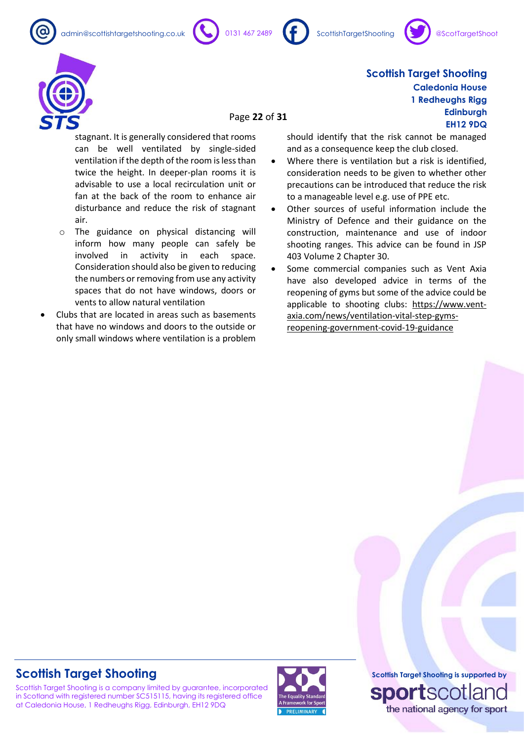admin@scottishtargetshooting.co.uk 0131 467 2489 (factorishTargetShooting









### Page **22** of **31**

stagnant. It is generally considered that rooms can be well ventilated by single-sided ventilation if the depth of the room is less than twice the height. In deeper-plan rooms it is advisable to use a local recirculation unit or fan at the back of the room to enhance air disturbance and reduce the risk of stagnant air.

- o The guidance on physical distancing will inform how many people can safely be involved in activity in each space. Consideration should also be given to reducing the numbers or removing from use any activity spaces that do not have windows, doors or vents to allow natural ventilation
- Clubs that are located in areas such as basements that have no windows and doors to the outside or only small windows where ventilation is a problem

should identify that the risk cannot be managed and as a consequence keep the club closed.

- Where there is ventilation but a risk is identified. consideration needs to be given to whether other precautions can be introduced that reduce the risk to a manageable level e.g. use of PPE etc.
- Other sources of useful information include the Ministry of Defence and their guidance on the construction, maintenance and use of indoor shooting ranges. This advice can be found in JSP 403 Volume 2 Chapter 30.
- Some commercial companies such as Vent Axia have also developed advice in terms of the reopening of gyms but some of the advice could be applicable to shooting clubs: [https://www.vent](https://www.vent-axia.com/news/ventilation-vital-step-gyms-reopening-government-covid-19-guidance)[axia.com/news/ventilation-vital-step-gyms](https://www.vent-axia.com/news/ventilation-vital-step-gyms-reopening-government-covid-19-guidance)[reopening-government-covid-19-guidance](https://www.vent-axia.com/news/ventilation-vital-step-gyms-reopening-government-covid-19-guidance)

### **Scottish Target Shooting**

Scottish Target Shooting is a company limited by guarantee, incorporated in Scotland with registered number SC515115, having its registered office at Caledonia House, 1 Redheughs Rigg, Edinburgh, EH12 9DQ



**Scottish Target Shooting is supported by sportsco** the national agency for sport

**Scottish Target Shooting Caledonia House 1 Redheughs Rigg Edinburgh EH12 9DQ**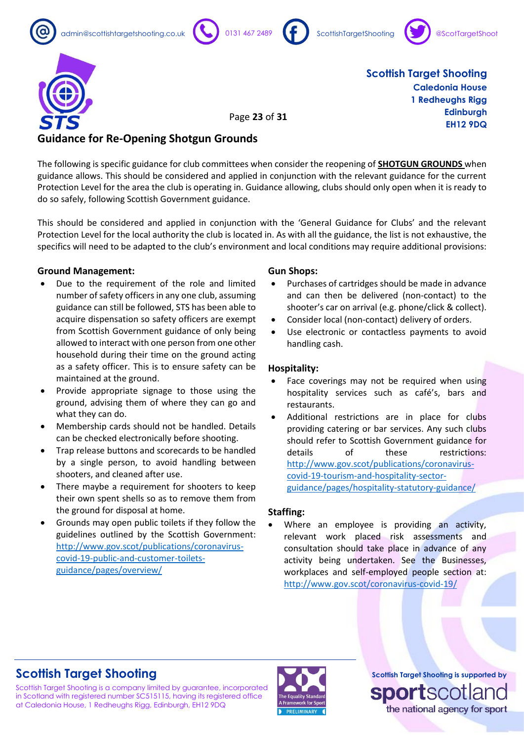









Page **23** of **31**

**Scottish Target Shooting Caledonia House 1 Redheughs Rigg Edinburgh EH12 9DQ**

### **Guidance for Re-Opening Shotgun Grounds**

The following is specific guidance for club committees when consider the reopening of **SHOTGUN GROUNDS** when guidance allows. This should be considered and applied in conjunction with the relevant guidance for the current Protection Level for the area the club is operating in. Guidance allowing, clubs should only open when it is ready to do so safely, following Scottish Government guidance.

This should be considered and applied in conjunction with the 'General Guidance for Clubs' and the relevant Protection Level for the local authority the club is located in. As with all the guidance, the list is not exhaustive, the specifics will need to be adapted to the club's environment and local conditions may require additional provisions:

### **Ground Management:**

- Due to the requirement of the role and limited number of safety officers in any one club, assuming guidance can still be followed, STS has been able to acquire dispensation so safety officers are exempt from Scottish Government guidance of only being allowed to interact with one person from one other household during their time on the ground acting as a safety officer. This is to ensure safety can be maintained at the ground.
- Provide appropriate signage to those using the ground, advising them of where they can go and what they can do.
- Membership cards should not be handled. Details can be checked electronically before shooting.
- Trap release buttons and scorecards to be handled by a single person, to avoid handling between shooters, and cleaned after use.
- There maybe a requirement for shooters to keep their own spent shells so as to remove them from the ground for disposal at home.
- Grounds may open public toilets if they follow the guidelines outlined by the Scottish Government: [http://www.gov.scot/publications/coronavirus](http://www.gov.scot/publications/coronavirus-covid-19-public-and-customer-toilets-guidance/pages/overview/)[covid-19-public-and-customer-toilets](http://www.gov.scot/publications/coronavirus-covid-19-public-and-customer-toilets-guidance/pages/overview/)[guidance/pages/overview/](http://www.gov.scot/publications/coronavirus-covid-19-public-and-customer-toilets-guidance/pages/overview/)

### **Gun Shops:**

- Purchases of cartridges should be made in advance and can then be delivered (non-contact) to the shooter's car on arrival (e.g. phone/click & collect).
- Consider local (non-contact) delivery of orders.
- Use electronic or contactless payments to avoid handling cash.

### **Hospitality:**

- Face coverings may not be required when using hospitality services such as café's, bars and restaurants.
- Additional restrictions are in place for clubs providing catering or bar services. Any such clubs should refer to Scottish Government guidance for details of these restrictions: [http://www.gov.scot/publications/coronavirus](http://www.gov.scot/publications/coronavirus-covid-19-tourism-and-hospitality-sector-guidance/pages/hospitality-statutory-guidance/)[covid-19-tourism-and-hospitality-sector](http://www.gov.scot/publications/coronavirus-covid-19-tourism-and-hospitality-sector-guidance/pages/hospitality-statutory-guidance/)[guidance/pages/hospitality-statutory-guidance/](http://www.gov.scot/publications/coronavirus-covid-19-tourism-and-hospitality-sector-guidance/pages/hospitality-statutory-guidance/)

### **Staffing:**

Where an employee is providing an activity, relevant work placed risk assessments and consultation should take place in advance of any activity being undertaken. See the Businesses, workplaces and self-employed people section at: <http://www.gov.scot/coronavirus-covid-19/>

# **Scottish Target Shooting**

Scottish Target Shooting is a company limited by guarantee, incorporated in Scotland with registered number SC515115, having its registered office at Caledonia House, 1 Redheughs Rigg, Edinburgh, EH12 9DQ

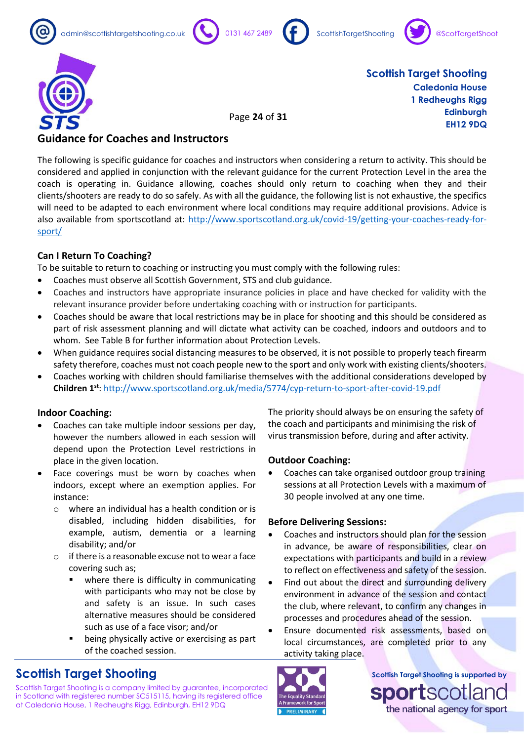









Page **24** of **31**

**Scottish Target Shooting Caledonia House 1 Redheughs Rigg Edinburgh EH12 9DQ**

### **Guidance for Coaches and Instructors**

The following is specific guidance for coaches and instructors when considering a return to activity. This should be considered and applied in conjunction with the relevant guidance for the current Protection Level in the area the coach is operating in. Guidance allowing, coaches should only return to coaching when they and their clients/shooters are ready to do so safely. As with all the guidance, the following list is not exhaustive, the specifics will need to be adapted to each environment where local conditions may require additional provisions. Advice is also available from sportscotland at: [http://www.sportscotland.org.uk/covid-19/getting-your-coaches-ready-for](http://www.sportscotland.org.uk/covid-19/getting-your-coaches-ready-for-sport/)[sport/](http://www.sportscotland.org.uk/covid-19/getting-your-coaches-ready-for-sport/)

### **Can I Return To Coaching?**

To be suitable to return to coaching or instructing you must comply with the following rules:

- Coaches must observe all Scottish Government, STS and club guidance.
- Coaches and instructors have appropriate insurance policies in place and have checked for validity with the relevant insurance provider before undertaking coaching with or instruction for participants.
- Coaches should be aware that local restrictions may be in place for shooting and this should be considered as part of risk assessment planning and will dictate what activity can be coached, indoors and outdoors and to whom. See Table B for further information about Protection Levels.
- When guidance requires social distancing measures to be observed, it is not possible to properly teach firearm safety therefore, coaches must not coach people new to the sport and only work with existing clients/shooters.
- Coaches working with children should familiarise themselves with the additional considerations developed by **Children 1st**[: http://www.sportscotland.org.uk/media/5774/cyp-return-to-sport-after-covid-19.pdf](http://www.sportscotland.org.uk/media/5774/cyp-return-to-sport-after-covid-19.pdf)

### **Indoor Coaching:**

- Coaches can take multiple indoor sessions per day, however the numbers allowed in each session will depend upon the Protection Level restrictions in place in the given location.
- Face coverings must be worn by coaches when indoors, except where an exemption applies. For instance:
	- o where an individual has a health condition or is disabled, including hidden disabilities, for example, autism, dementia or a learning disability; and/or
	- o if there is a reasonable excuse not to wear a face covering such as;
		- where there is difficulty in communicating with participants who may not be close by and safety is an issue. In such cases alternative measures should be considered such as use of a face visor; and/or
		- being physically active or exercising as part of the coached session.

The priority should always be on ensuring the safety of the coach and participants and minimising the risk of virus transmission before, during and after activity.

### **Outdoor Coaching:**

• Coaches can take organised outdoor group training sessions at all Protection Levels with a maximum of 30 people involved at any one time.

### **Before Delivering Sessions:**

- Coaches and instructors should plan for the session in advance, be aware of responsibilities, clear on expectations with participants and build in a review to reflect on effectiveness and safety of the session.
- Find out about the direct and surrounding delivery environment in advance of the session and contact the club, where relevant, to confirm any changes in processes and procedures ahead of the session.
- Ensure documented risk assessments, based on local circumstances, are completed prior to any activity taking place.



Scottish Target Shooting is a company limited by guarantee, incorporated in Scotland with registered number SC515115, having its registered office at Caledonia House, 1 Redheughs Rigg, Edinburgh, EH12 9DQ

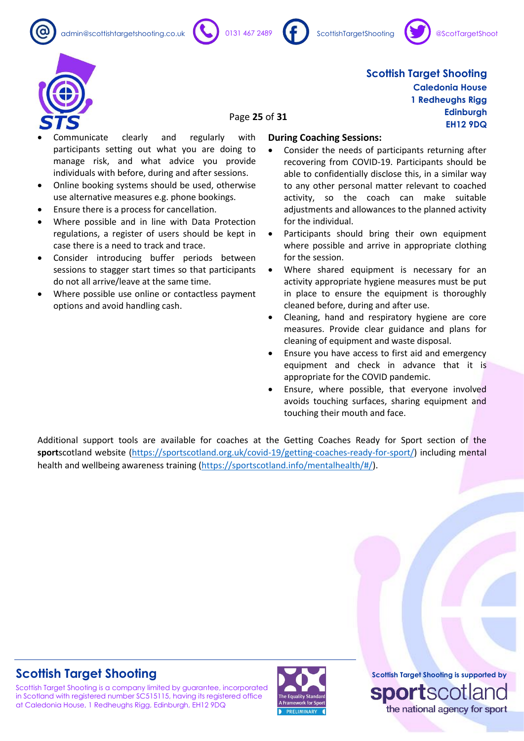admin@scottishtargetshooting.co.uk 0131 467 2489 ScottishTargetShooting









### **Scottish Target Shooting Caledonia House 1 Redheughs Rigg Edinburgh EH12 9DQ**

### Page **25** of **31**

- Communicate clearly and regularly with participants setting out what you are doing to manage risk, and what advice you provide individuals with before, during and after sessions.
- Online booking systems should be used, otherwise use alternative measures e.g. phone bookings.
- Ensure there is a process for cancellation.
- Where possible and in line with Data Protection regulations, a register of users should be kept in case there is a need to track and trace.
- Consider introducing buffer periods between sessions to stagger start times so that participants do not all arrive/leave at the same time.
- Where possible use online or contactless payment options and avoid handling cash.

### **During Coaching Sessions:**

- Consider the needs of participants returning after recovering from COVID-19. Participants should be able to confidentially disclose this, in a similar way to any other personal matter relevant to coached activity, so the coach can make suitable adjustments and allowances to the planned activity for the individual.
- Participants should bring their own equipment where possible and arrive in appropriate clothing for the session.
- Where shared equipment is necessary for an activity appropriate hygiene measures must be put in place to ensure the equipment is thoroughly cleaned before, during and after use.
- Cleaning, hand and respiratory hygiene are core measures. Provide clear guidance and plans for cleaning of equipment and waste disposal.
- Ensure you have access to first aid and emergency equipment and check in advance that it is appropriate for the COVID pandemic.
- Ensure, where possible, that everyone involved avoids touching surfaces, sharing equipment and touching their mouth and face.

Additional support tools are available for coaches at the Getting Coaches Ready for Sport section of the **sport**scotland website [\(https://sportscotland.org.uk/covid-19/getting-coaches-ready-for-sport/\)](https://sportscotland.org.uk/covid-19/getting-coaches-ready-for-sport/) including mental health and wellbeing awareness training [\(https://sportscotland.info/mentalhealth/#/\)](https://sportscotland.info/mentalhealth/#/).

### **Scottish Target Shooting**

Scottish Target Shooting is a company limited by guarantee, incorporated in Scotland with registered number SC515115, having its registered office at Caledonia House, 1 Redheughs Rigg, Edinburgh, EH12 9DQ

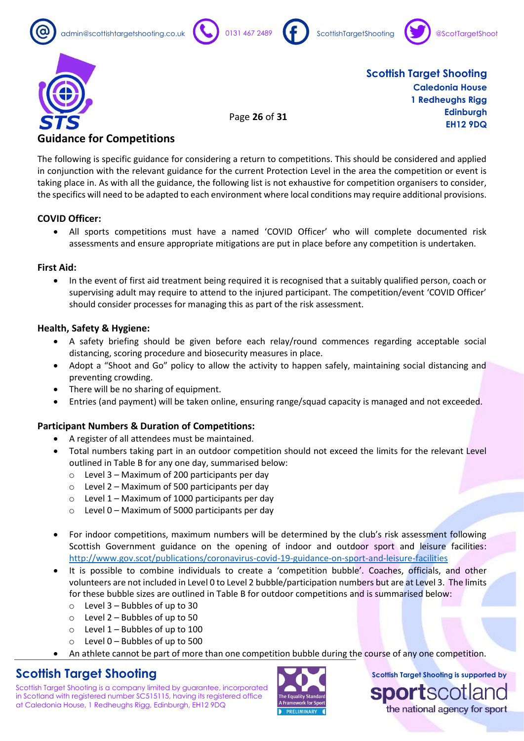









Page **26** of **31**

**Scottish Target Shooting Caledonia House 1 Redheughs Rigg Edinburgh EH12 9DQ**

### **Guidance for Competitions**

The following is specific guidance for considering a return to competitions. This should be considered and applied in conjunction with the relevant guidance for the current Protection Level in the area the competition or event is taking place in. As with all the guidance, the following list is not exhaustive for competition organisers to consider, the specifics will need to be adapted to each environment where local conditions may require additional provisions.

### **COVID Officer:**

• All sports competitions must have a named 'COVID Officer' who will complete documented risk assessments and ensure appropriate mitigations are put in place before any competition is undertaken.

### **First Aid:**

• In the event of first aid treatment being required it is recognised that a suitably qualified person, coach or supervising adult may require to attend to the injured participant. The competition/event 'COVID Officer' should consider processes for managing this as part of the risk assessment.

### **Health, Safety & Hygiene:**

- A safety briefing should be given before each relay/round commences regarding acceptable social distancing, scoring procedure and biosecurity measures in place.
- Adopt a "Shoot and Go" policy to allow the activity to happen safely, maintaining social distancing and preventing crowding.
- There will be no sharing of equipment.
- Entries (and payment) will be taken online, ensuring range/squad capacity is managed and not exceeded.

### **Participant Numbers & Duration of Competitions:**

- A register of all attendees must be maintained.
- Total numbers taking part in an outdoor competition should not exceed the limits for the relevant Level outlined in Table B for any one day, summarised below:
	- $\circ$  Level 3 Maximum of 200 participants per day
	- $\circ$  Level 2 Maximum of 500 participants per day
	- $\circ$  Level 1 Maximum of 1000 participants per day
	- $\circ$  Level 0 Maximum of 5000 participants per day
- For indoor competitions, maximum numbers will be determined by the club's risk assessment following Scottish Government guidance on the opening of indoor and outdoor sport and leisure facilities: <http://www.gov.scot/publications/coronavirus-covid-19-guidance-on-sport-and-leisure-facilities>
- It is possible to combine individuals to create a 'competition bubble'. Coaches, officials, and other volunteers are not included in Level 0 to Level 2 bubble/participation numbers but are at Level 3. The limits for these bubble sizes are outlined in Table B for outdoor competitions and is summarised below:
	- $\circ$  Level 3 Bubbles of up to 30
	- $\circ$  Level 2 Bubbles of up to 50
	- $\circ$  Level 1 Bubbles of up to 100
	- $\circ$  Level 0 Bubbles of up to 500
	- An athlete cannot be part of more than one competition bubble during the course of any one competition.

### **Scottish Target Shooting**

Scottish Target Shooting is a company limited by guarantee, incorporated in Scotland with registered number SC515115, having its registered office at Caledonia House, 1 Redheughs Rigg, Edinburgh, EH12 9DQ

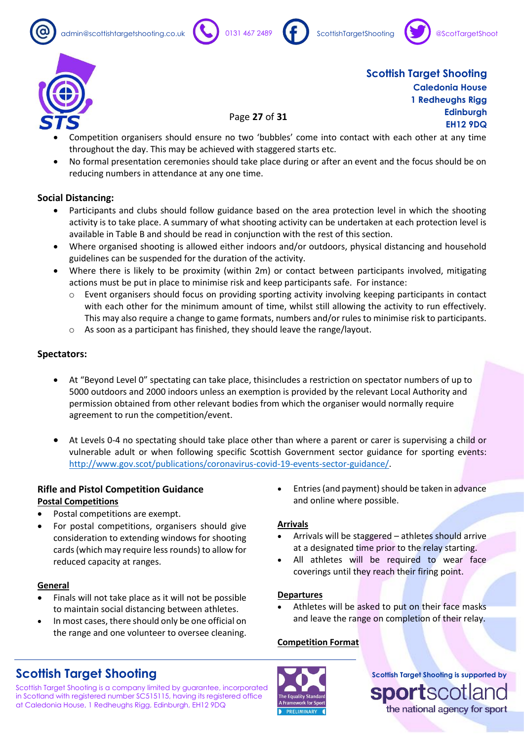admin@scottishtargetshooting.co.uk 0131 467 2489 ScottishTargetShooting









**Scottish Target Shooting Caledonia House 1 Redheughs Rigg Edinburgh EH12 9DQ**

• Competition organisers should ensure no two 'bubbles' come into contact with each other at any time throughout the day. This may be achieved with staggered starts etc.

Page **27** of **31**

• No formal presentation ceremonies should take place during or after an event and the focus should be on reducing numbers in attendance at any one time.

### **Social Distancing:**

- Participants and clubs should follow guidance based on the area protection level in which the shooting activity is to take place. A summary of what shooting activity can be undertaken at each protection level is available in Table B and should be read in conjunction with the rest of this section.
- Where organised shooting is allowed either indoors and/or outdoors, physical distancing and household guidelines can be suspended for the duration of the activity.
- Where there is likely to be proximity (within 2m) or contact between participants involved, mitigating actions must be put in place to minimise risk and keep participants safe. For instance:
	- Event organisers should focus on providing sporting activity involving keeping participants in contact with each other for the minimum amount of time, whilst still allowing the activity to run effectively. This may also require a change to game formats, numbers and/or rules to minimise risk to participants.
	- o As soon as a participant has finished, they should leave the range/layout.

### **Spectators:**

- At "Beyond Level 0" spectating can take place, thisincludes a restriction on spectator numbers of up to 5000 outdoors and 2000 indoors unless an exemption is provided by the relevant Local Authority and permission obtained from other relevant bodies from which the organiser would normally require agreement to run the competition/event.
- At Levels 0-4 no spectating should take place other than where a parent or carer is supervising a child or vulnerable adult or when following specific Scottish Government sector guidance for sporting events: [http://www.gov.scot/publications/coronavirus-covid-19-events-sector-guidance/.](http://www.gov.scot/publications/coronavirus-covid-19-events-sector-guidance/)

### **Rifle and Pistol Competition Guidance Postal Competitions**

- Postal competitions are exempt.
- For postal competitions, organisers should give consideration to extending windows for shooting cards (which may require less rounds) to allow for reduced capacity at ranges.

#### **General**

- Finals will not take place as it will not be possible to maintain social distancing between athletes.
- In most cases, there should only be one official on the range and one volunteer to oversee cleaning.

# **Scottish Target Shooting**

Scottish Target Shooting is a company limited by guarantee, incorporated in Scotland with registered number SC515115, having its registered office at Caledonia House, 1 Redheughs Rigg, Edinburgh, EH12 9DQ

• Entries (and payment) should be taken in advance and online where possible.

### **Arrivals**

- Arrivals will be staggered athletes should arrive at a designated time prior to the relay starting.
- All athletes will be required to wear face coverings until they reach their firing point.

#### **Departures**

Athletes will be asked to put on their face masks and leave the range on completion of their relay.

### **Competition Format**

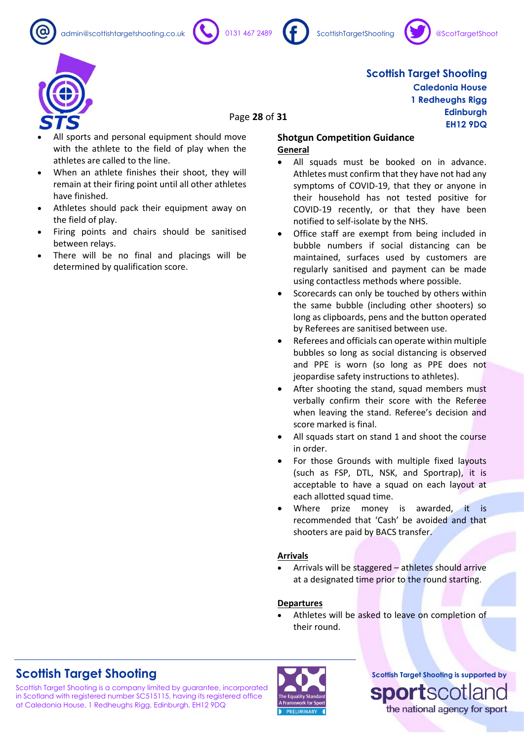





**Caledonia House 1 Redheughs Rigg**

> **Edinburgh EH12 9DQ**

**Scottish Target Shooting**



Page **28** of **31**

- All sports and personal equipment should move with the athlete to the field of play when the athletes are called to the line.
- When an athlete finishes their shoot, they will remain at their firing point until all other athletes have finished.
- Athletes should pack their equipment away on the field of play.
- Firing points and chairs should be sanitised between relays.
- There will be no final and placings will be determined by qualification score.

#### **Shotgun Competition Guidance General**

- All squads must be booked on in advance. Athletes must confirm that they have not had any symptoms of COVID-19, that they or anyone in their household has not tested positive for COVID-19 recently, or that they have been notified to self-isolate by the NHS.
- Office staff are exempt from being included in bubble numbers if social distancing can be maintained, surfaces used by customers are regularly sanitised and payment can be made using contactless methods where possible.
- Scorecards can only be touched by others within the same bubble (including other shooters) so long as clipboards, pens and the button operated by Referees are sanitised between use.
- Referees and officials can operate within multiple bubbles so long as social distancing is observed and PPE is worn (so long as PPE does not jeopardise safety instructions to athletes).
- After shooting the stand, squad members must verbally confirm their score with the Referee when leaving the stand. Referee's decision and score marked is final.
- All squads start on stand 1 and shoot the course in order.
- For those Grounds with multiple fixed layouts (such as FSP, DTL, NSK, and Sportrap), it is acceptable to have a squad on each layout at each allotted squad time.
- Where prize money is awarded, it is recommended that 'Cash' be avoided and that shooters are paid by BACS transfer.

#### **Arrivals**

• Arrivals will be staggered – athletes should arrive at a designated time prior to the round starting.

#### **Departures**

Athletes will be asked to leave on completion of their round.

# **Scottish Target Shooting**

Scottish Target Shooting is a company limited by guarantee, incorporated in Scotland with registered number SC515115, having its registered office at Caledonia House, 1 Redheughs Rigg, Edinburgh, EH12 9DQ

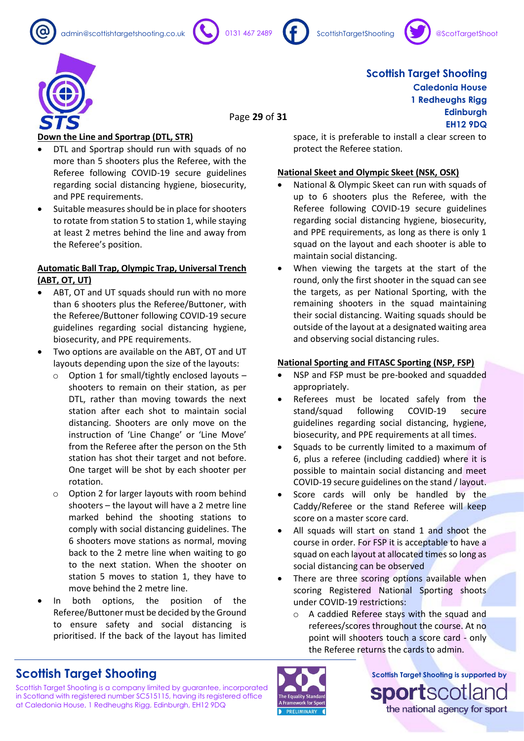admin@scottishtargetshooting.co.uk 0131 467 2489 ScottishTargetShooting









Page **29** of **31**

**Scottish Target Shooting Caledonia House 1 Redheughs Rigg Edinburgh EH12 9DQ**

### **Down the Line and Sportrap (DTL, STR)**

- DTL and Sportrap should run with squads of no more than 5 shooters plus the Referee, with the Referee following COVID-19 secure guidelines regarding social distancing hygiene, biosecurity, and PPE requirements.
- Suitable measures should be in place for shooters to rotate from station 5 to station 1, while staying at least 2 metres behind the line and away from the Referee's position.

#### **Automatic Ball Trap, Olympic Trap, Universal Trench (ABT, OT, UT)**

- ABT, OT and UT squads should run with no more than 6 shooters plus the Referee/Buttoner, with the Referee/Buttoner following COVID-19 secure guidelines regarding social distancing hygiene, biosecurity, and PPE requirements.
- Two options are available on the ABT, OT and UT layouts depending upon the size of the layouts:
	- o Option 1 for small/tightly enclosed layouts shooters to remain on their station, as per DTL, rather than moving towards the next station after each shot to maintain social distancing. Shooters are only move on the instruction of 'Line Change' or 'Line Move' from the Referee after the person on the 5th station has shot their target and not before. One target will be shot by each shooter per rotation.
	- o Option 2 for larger layouts with room behind shooters – the layout will have a 2 metre line marked behind the shooting stations to comply with social distancing guidelines. The 6 shooters move stations as normal, moving back to the 2 metre line when waiting to go to the next station. When the shooter on station 5 moves to station 1, they have to move behind the 2 metre line.
- In both options, the position of the Referee/Buttoner must be decided by the Ground to ensure safety and social distancing is prioritised. If the back of the layout has limited

space, it is preferable to install a clear screen to protect the Referee station.

### **National Skeet and Olympic Skeet (NSK, OSK)**

- National & Olympic Skeet can run with squads of up to 6 shooters plus the Referee, with the Referee following COVID-19 secure guidelines regarding social distancing hygiene, biosecurity, and PPE requirements, as long as there is only 1 squad on the layout and each shooter is able to maintain social distancing.
- When viewing the targets at the start of the round, only the first shooter in the squad can see the targets, as per National Sporting, with the remaining shooters in the squad maintaining their social distancing. Waiting squads should be outside of the layout at a designated waiting area and observing social distancing rules.

### **National Sporting and FITASC Sporting (NSP, FSP)**

- NSP and FSP must be pre-booked and squadded appropriately.
- Referees must be located safely from the stand/squad following COVID-19 secure guidelines regarding social distancing, hygiene, biosecurity, and PPE requirements at all times.
- Squads to be currently limited to a maximum of 6, plus a referee (including caddied) where it is possible to maintain social distancing and meet COVID-19 secure guidelines on the stand / layout.
- Score cards will only be handled by the Caddy/Referee or the stand Referee will keep score on a master score card.
- All squads will start on stand 1 and shoot the course in order. For FSP it is acceptable to have a squad on each layout at allocated times so long as social distancing can be observed
- There are three scoring options available when scoring Registered National Sporting shoots under COVID-19 restrictions:
	- o A caddied Referee stays with the squad and referees/scores throughout the course. At no point will shooters touch a score card - only the Referee returns the cards to admin.



Scottish Target Shooting is a company limited by guarantee, incorporated in Scotland with registered number SC515115, having its registered office at Caledonia House, 1 Redheughs Rigg, Edinburgh, EH12 9DQ

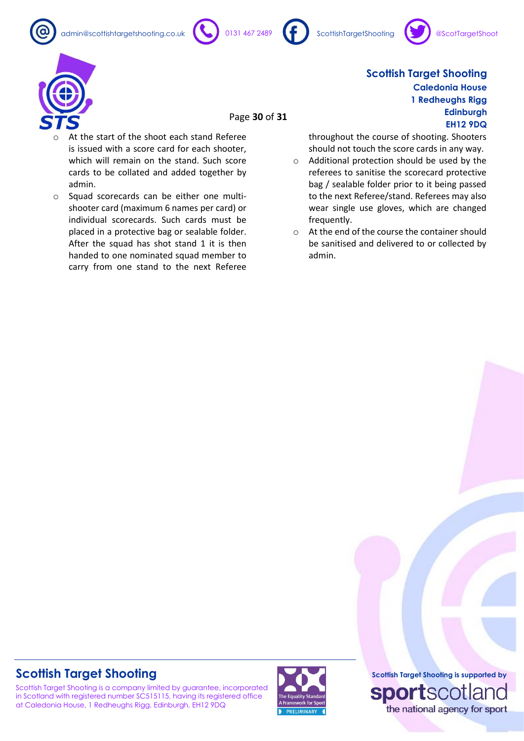







Page **30** of **31**

- At the start of the shoot each stand Referee is issued with a score card for each shooter, which will remain on the stand. Such score cards to be collated and added together by admin.
- o Squad scorecards can be either one multishooter card (maximum 6 names per card) or individual scorecards. Such cards must be placed in a protective bag or sealable folder. After the squad has shot stand 1 it is then handed to one nominated squad member to carry from one stand to the next Referee

**Scottish Target Shooting Caledonia House 1 Redheughs Rigg Edinburgh EH12 9DQ**

throughout the course of shooting. Shooters should not touch the score cards in any way.

- o Additional protection should be used by the referees to sanitise the scorecard protective bag / sealable folder prior to it being passed to the next Referee/stand. Referees may also wear single use gloves, which are changed frequently.
- o At the end of the course the container should be sanitised and delivered to or collected by admin.

# **Scottish Target Shooting**

Scottish Target Shooting is a company limited by guarantee, incorporated in Scotland with registered number SC515115, having its registered office at Caledonia House, 1 Redheughs Rigg, Edinburgh, EH12 9DQ

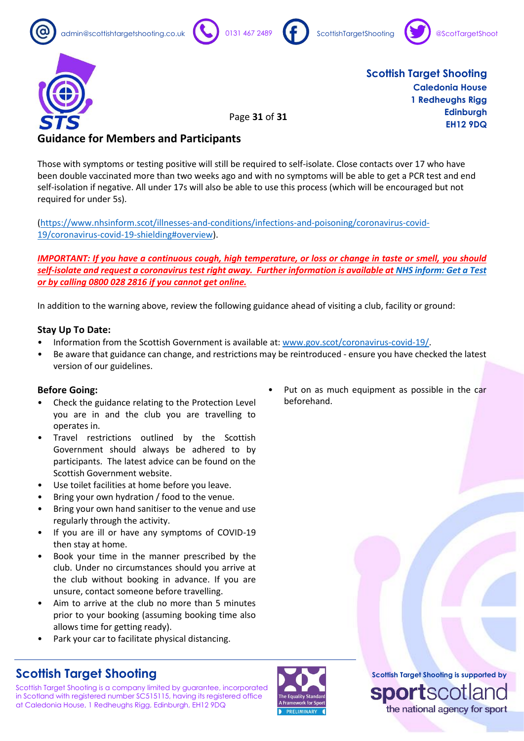









Page **31** of **31**

**Scottish Target Shooting Caledonia House 1 Redheughs Rigg Edinburgh EH12 9DQ**

### **Guidance for Members and Participants**

Those with symptoms or testing positive will still be required to self-isolate. Close contacts over 17 who have been double vaccinated more than two weeks ago and with no symptoms will be able to get a PCR test and end self-isolation if negative. All under 17s will also be able to use this process (which will be encouraged but not required for under 5s).

[\(https://www.nhsinform.scot/illnesses-and-conditions/infections-and-poisoning/coronavirus-covid-](https://www.nhsinform.scot/illnesses-and-conditions/infections-and-poisoning/coronavirus-covid-19/coronavirus-covid-19-shielding#overview)[19/coronavirus-covid-19-shielding#overview\)](https://www.nhsinform.scot/illnesses-and-conditions/infections-and-poisoning/coronavirus-covid-19/coronavirus-covid-19-shielding#overview).

*IMPORTANT: If you have a continuous cough, high temperature, or loss or change in taste or smell, you should self-isolate and request a coronavirus test right away. Further information is available a[t NHS inform: Get a Test](https://www.nhsinform.scot/illnesses-and-conditions/infections-and-poisoning/coronavirus-covid-19/test-and-protect/coronavirus-covid-19-get-a-test-if-you-have-symptoms) or by calling 0800 028 2816 if you cannot get online.*

In addition to the warning above, review the following guidance ahead of visiting a club, facility or ground:

### **Stay Up To Date:**

- Information from the Scottish Government is available at: [www.gov.scot/coronavirus-covid-19/.](http://www.gov.scot/coronavirus-covid-19/)
- Be aware that guidance can change, and restrictions may be reintroduced ensure you have checked the latest version of our guidelines.

### **Before Going:**

- Check the guidance relating to the Protection Level you are in and the club you are travelling to operates in.
- Travel restrictions outlined by the Scottish Government should always be adhered to by participants. The latest advice can be found on the Scottish Government website.
- Use toilet facilities at home before you leave.
- Bring your own hydration / food to the venue.
- Bring your own hand sanitiser to the venue and use regularly through the activity.
- If you are ill or have any symptoms of COVID-19 then stay at home.
- Book your time in the manner prescribed by the club. Under no circumstances should you arrive at the club without booking in advance. If you are unsure, contact someone before travelling.
- Aim to arrive at the club no more than 5 minutes prior to your booking (assuming booking time also allows time for getting ready).
- Park your car to facilitate physical distancing.

# **Scottish Target Shooting**

Scottish Target Shooting is a company limited by guarantee, incorporated in Scotland with registered number SC515115, having its registered office at Caledonia House, 1 Redheughs Rigg, Edinburgh, EH12 9DQ



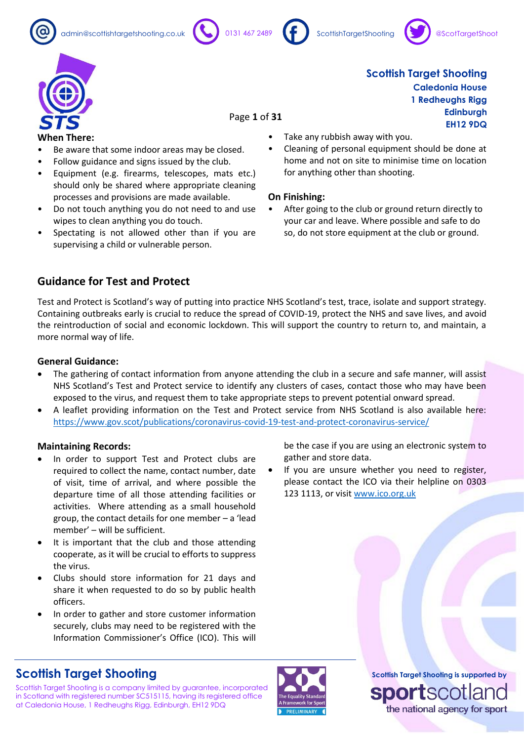









Page **1** of **31**

#### **When There:**

- Be aware that some indoor areas may be closed.
- Follow guidance and signs issued by the club.
- Equipment (e.g. firearms, telescopes, mats etc.) should only be shared where appropriate cleaning processes and provisions are made available.
- Do not touch anything you do not need to and use wipes to clean anything you do touch.
- Spectating is not allowed other than if you are supervising a child or vulnerable person.
- Take any rubbish away with you.
- Cleaning of personal equipment should be done at home and not on site to minimise time on location for anything other than shooting.

#### **On Finishing:**

• After going to the club or ground return directly to your car and leave. Where possible and safe to do so, do not store equipment at the club or ground.

be the case if you are using an electronic system to

If you are unsure whether you need to register, please contact the ICO via their helpline on 0303

gather and store data.

123 1113, or visit [www.ico.org.uk](http://www.ico.org.uk/)

### **Guidance for Test and Protect**

Test and Protect is Scotland's way of putting into practice NHS Scotland's test, trace, isolate and support strategy. Containing outbreaks early is crucial to reduce the spread of COVID-19, protect the NHS and save lives, and avoid the reintroduction of social and economic lockdown. This will support the country to return to, and maintain, a more normal way of life.

#### **General Guidance:**

- The gathering of contact information from anyone attending the club in a secure and safe manner, will assist NHS Scotland's Test and Protect service to identify any clusters of cases, contact those who may have been exposed to the virus, and request them to take appropriate steps to prevent potential onward spread.
- A leaflet providing information on the Test and Protect service from NHS Scotland is also available here: <https://www.gov.scot/publications/coronavirus-covid-19-test-and-protect-coronavirus-service/>

#### **Maintaining Records:**

- In order to support Test and Protect clubs are required to collect the name, contact number, date of visit, time of arrival, and where possible the departure time of all those attending facilities or activities. Where attending as a small household group, the contact details for one member – a 'lead member' – will be sufficient.
- It is important that the club and those attending cooperate, as it will be crucial to efforts to suppress the virus.
- Clubs should store information for 21 days and share it when requested to do so by public health officers.
- In order to gather and store customer information securely, clubs may need to be registered with the Information Commissioner's Office (ICO). This will

### **Scottish Target Shooting**

Scottish Target Shooting is a company limited by guarantee, incorporated in Scotland with registered number SC515115, having its registered office at Caledonia House, 1 Redheughs Rigg, Edinburgh, EH12 9DQ



**Scottish Target Shooting is supported by SportSCO** the national agency for sport

**Scottish Target Shooting Caledonia House 1 Redheughs Rigg Edinburgh EH12 9DQ**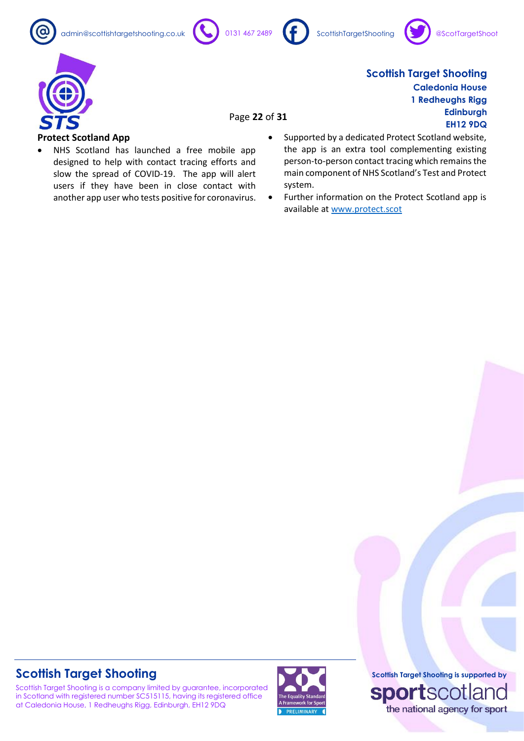



Page **22** of **31**







**Scottish Target Shooting Caledonia House 1 Redheughs Rigg Edinburgh EH12 9DQ**

### **Protect Scotland App**

- NHS Scotland has launched a free mobile app designed to help with contact tracing efforts and slow the spread of COVID-19. The app will alert users if they have been in close contact with another app user who tests positive for coronavirus.
- Supported by a dedicated Protect Scotland website, the app is an extra tool complementing existing person-to-person contact tracing which remains the main component of NHS Scotland's Test and Protect system.
- Further information on the Protect Scotland app is available at [www.protect.scot](http://www.protect.scot/)

# **Scottish Target Shooting**

Scottish Target Shooting is a company limited by guarantee, incorporated in Scotland with registered number SC515115, having its registered office at Caledonia House, 1 Redheughs Rigg, Edinburgh, EH12 9DQ

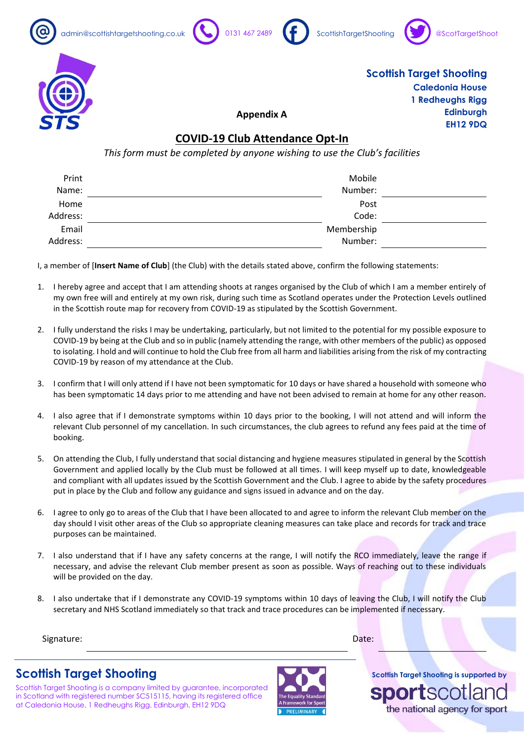









### **Appendix A**

### **COVID-19 Club Attendance Opt-In**

*This form must be completed by anyone wishing to use the Club's facilities*

| Print    | Mobile     |  |
|----------|------------|--|
| Name:    | Number:    |  |
| Home     | Post       |  |
| Address: | Code:      |  |
| Email    | Membership |  |
| Address: | Number:    |  |

I, a member of [**Insert Name of Club**] (the Club) with the details stated above, confirm the following statements:

- 1. I hereby agree and accept that I am attending shoots at ranges organised by the Club of which I am a member entirely of my own free will and entirely at my own risk, during such time as Scotland operates under the Protection Levels outlined in the Scottish route map for recovery from COVID-19 as stipulated by the Scottish Government.
- 2. I fully understand the risks I may be undertaking, particularly, but not limited to the potential for my possible exposure to COVID-19 by being at the Club and so in public (namely attending the range, with other members of the public) as opposed to isolating. I hold and will continue to hold the Club free from all harm and liabilities arising from the risk of my contracting COVID-19 by reason of my attendance at the Club.
- 3. I confirm that I will only attend if I have not been symptomatic for 10 days or have shared a household with someone who has been symptomatic 14 days prior to me attending and have not been advised to remain at home for any other reason.
- 4. I also agree that if I demonstrate symptoms within 10 days prior to the booking, I will not attend and will inform the relevant Club personnel of my cancellation. In such circumstances, the club agrees to refund any fees paid at the time of booking.
- 5. On attending the Club, I fully understand that social distancing and hygiene measures stipulated in general by the Scottish Government and applied locally by the Club must be followed at all times. I will keep myself up to date, knowledgeable and compliant with all updates issued by the Scottish Government and the Club. I agree to abide by the safety procedures put in place by the Club and follow any guidance and signs issued in advance and on the day.
- 6. I agree to only go to areas of the Club that I have been allocated to and agree to inform the relevant Club member on the day should I visit other areas of the Club so appropriate cleaning measures can take place and records for track and trace purposes can be maintained.
- 7. I also understand that if I have any safety concerns at the range, I will notify the RCO immediately, leave the range if necessary, and advise the relevant Club member present as soon as possible. Ways of reaching out to these individuals will be provided on the day.
- 8. I also undertake that if I demonstrate any COVID-19 symptoms within 10 days of leaving the Club, I will notify the Club secretary and NHS Scotland immediately so that track and trace procedures can be implemented if necessary.

Signature: Date: Date: Date: Date: Date: Date: Date: Date: Date: Date: Date: Date: Date: Date: Date: Date: Date: Date: Date: Date: Date: Date: Date: Date: Date: Date: Date: Date: Date: Date: Date: Date: Date: Date: Date: D

**Scottish Target Shooting**

Scottish Target Shooting is a company limited by guarantee, incorporated in Scotland with registered number SC515115, having its registered office at Caledonia House, 1 Redheughs Rigg, Edinburgh, EH12 9DQ

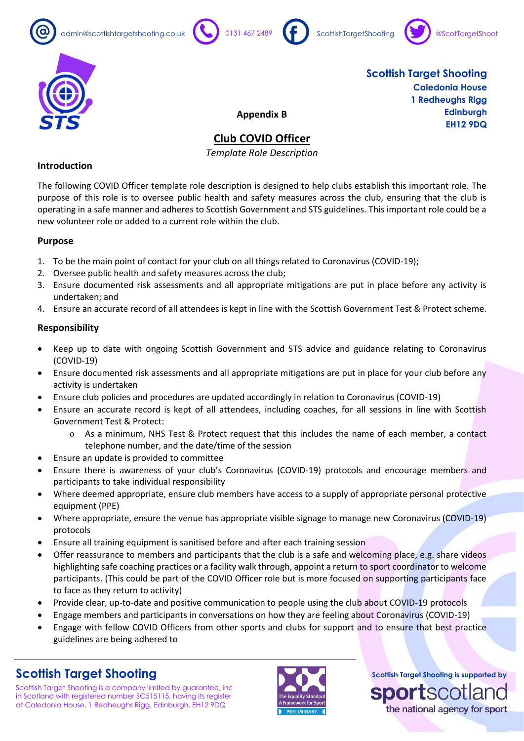









**Appendix B**

# **Club COVID Officer**

*Template Role Description*

### **Introduction**

The following COVID Officer template role description is designed to help clubs establish this important role. The purpose of this role is to oversee public health and safety measures across the club, ensuring that the club is operating in a safe manner and adheres to Scottish Government and STS guidelines. This important role could be a new volunteer role or added to a current role within the club.

### **Purpose**

- 1. To be the main point of contact for your club on all things related to Coronavirus (COVID-19);
- 2. Oversee public health and safety measures across the club;
- 3. Ensure documented risk assessments and all appropriate mitigations are put in place before any activity is undertaken; and
- 4. Ensure an accurate record of all attendees is kept in line with the Scottish Government Test & Protect scheme.

### **Responsibility**

- Keep up to date with ongoing Scottish Government and STS advice and guidance relating to Coronavirus (COVID-19)
- Ensure documented risk assessments and all appropriate mitigations are put in place for your club before any activity is undertaken
- Ensure club policies and procedures are updated accordingly in relation to Coronavirus (COVID-19)
- Ensure an accurate record is kept of all attendees, including coaches, for all sessions in line with Scottish Government Test & Protect:
	- As a minimum, NHS Test & Protect request that this includes the name of each member, a contact telephone number, and the date/time of the session
- Ensure an update is provided to committee
- Ensure there is awareness of your club's Coronavirus (COVID-19) protocols and encourage members and participants to take individual responsibility
- Where deemed appropriate, ensure club members have access to a supply of appropriate personal protective equipment (PPE)
- Where appropriate, ensure the venue has appropriate visible signage to manage new Coronavirus (COVID-19) protocols
- Ensure all training equipment is sanitised before and after each training session
- Offer reassurance to members and participants that the club is a safe and welcoming place, e.g. share videos highlighting safe coaching practices or a facility walk through, appoint a return to sport coordinator to welcome participants. (This could be part of the COVID Officer role but is more focused on supporting participants face to face as they return to activity)
- Provide clear, up-to-date and positive communication to people using the club about COVID-19 protocols
- Engage members and participants in conversations on how they are feeling about Coronavirus (COVID-19)
- Engage with fellow COVID Officers from other sports and clubs for support and to ensure that best practice guidelines are being adhered to

# **Scottish Target Shooting**

Scottish Target Shooting is a company limited by guarantee, inc in Scotland with registered number SC515115, having its register at Caledonia House, 1 Redheughs Rigg, Edinburgh, EH12 9DQ